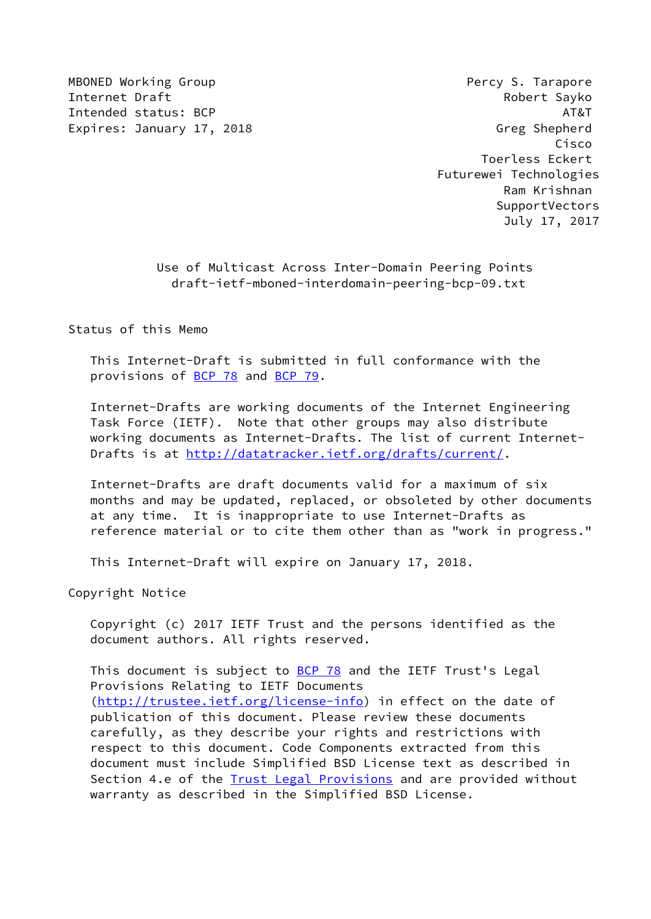MBONED Working Group **Percy S. Tarapore** Internet Draft **Robert Sayko** Intended status: BCP AT&T Expires: January 17, 2018 Creamstand Greg Shepherd

 Cisco Toerless Eckert Futurewei Technologies Ram Krishnan SupportVectors July 17, 2017

> Use of Multicast Across Inter-Domain Peering Points draft-ietf-mboned-interdomain-peering-bcp-09.txt

Status of this Memo

 This Internet-Draft is submitted in full conformance with the provisions of [BCP 78](https://datatracker.ietf.org/doc/pdf/bcp78) and [BCP 79](https://datatracker.ietf.org/doc/pdf/bcp79).

 Internet-Drafts are working documents of the Internet Engineering Task Force (IETF). Note that other groups may also distribute working documents as Internet-Drafts. The list of current Internet Drafts is at<http://datatracker.ietf.org/drafts/current/>.

 Internet-Drafts are draft documents valid for a maximum of six months and may be updated, replaced, or obsoleted by other documents at any time. It is inappropriate to use Internet-Drafts as reference material or to cite them other than as "work in progress."

This Internet-Draft will expire on January 17, 2018.

Copyright Notice

 Copyright (c) 2017 IETF Trust and the persons identified as the document authors. All rights reserved.

This document is subject to [BCP 78](https://datatracker.ietf.org/doc/pdf/bcp78) and the IETF Trust's Legal Provisions Relating to IETF Documents [\(http://trustee.ietf.org/license-info](http://trustee.ietf.org/license-info)) in effect on the date of publication of this document. Please review these documents carefully, as they describe your rights and restrictions with respect to this document. Code Components extracted from this document must include Simplified BSD License text as described in Section 4.e of the **[Trust Legal Provisions](https://trustee.ietf.org/license-info)** and are provided without warranty as described in the Simplified BSD License.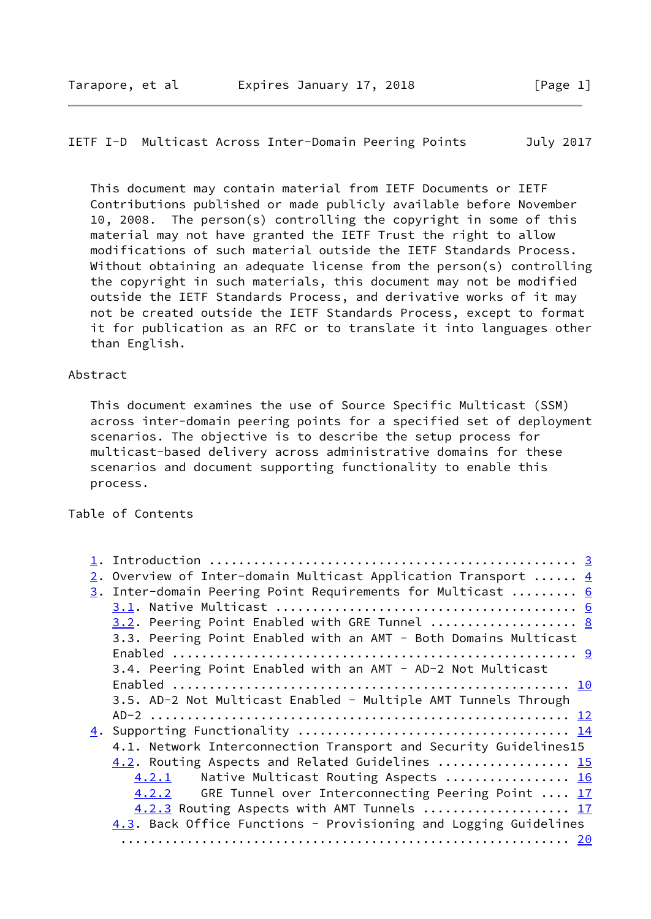### IETF I-D Multicast Across Inter-Domain Peering Points July 2017

 This document may contain material from IETF Documents or IETF Contributions published or made publicly available before November 10, 2008. The person(s) controlling the copyright in some of this material may not have granted the IETF Trust the right to allow modifications of such material outside the IETF Standards Process. Without obtaining an adequate license from the person(s) controlling the copyright in such materials, this document may not be modified outside the IETF Standards Process, and derivative works of it may not be created outside the IETF Standards Process, except to format it for publication as an RFC or to translate it into languages other than English.

### Abstract

 This document examines the use of Source Specific Multicast (SSM) across inter-domain peering points for a specified set of deployment scenarios. The objective is to describe the setup process for multicast-based delivery across administrative domains for these scenarios and document supporting functionality to enable this process.

Table of Contents

|  | 2. Overview of Inter-domain Multicast Application Transport $4$  |  |
|--|------------------------------------------------------------------|--|
|  | 3. Inter-domain Peering Point Requirements for Multicast  6      |  |
|  |                                                                  |  |
|  | 3.2. Peering Point Enabled with GRE Tunnel  8                    |  |
|  | 3.3. Peering Point Enabled with an AMT - Both Domains Multicast  |  |
|  |                                                                  |  |
|  | 3.4. Peering Point Enabled with an AMT - AD-2 Not Multicast      |  |
|  |                                                                  |  |
|  | 3.5. AD-2 Not Multicast Enabled - Multiple AMT Tunnels Through   |  |
|  |                                                                  |  |
|  |                                                                  |  |
|  | 4.1. Network Interconnection Transport and Security Guidelines15 |  |
|  | 4.2. Routing Aspects and Related Guidelines  15                  |  |
|  | Native Multicast Routing Aspects  16<br>4.2.1                    |  |
|  | GRE Tunnel over Interconnecting Peering Point  17<br>4.2.2       |  |
|  | 4.2.3 Routing Aspects with AMT Tunnels  17                       |  |
|  | 4.3. Back Office Functions - Provisioning and Logging Guidelines |  |
|  |                                                                  |  |
|  |                                                                  |  |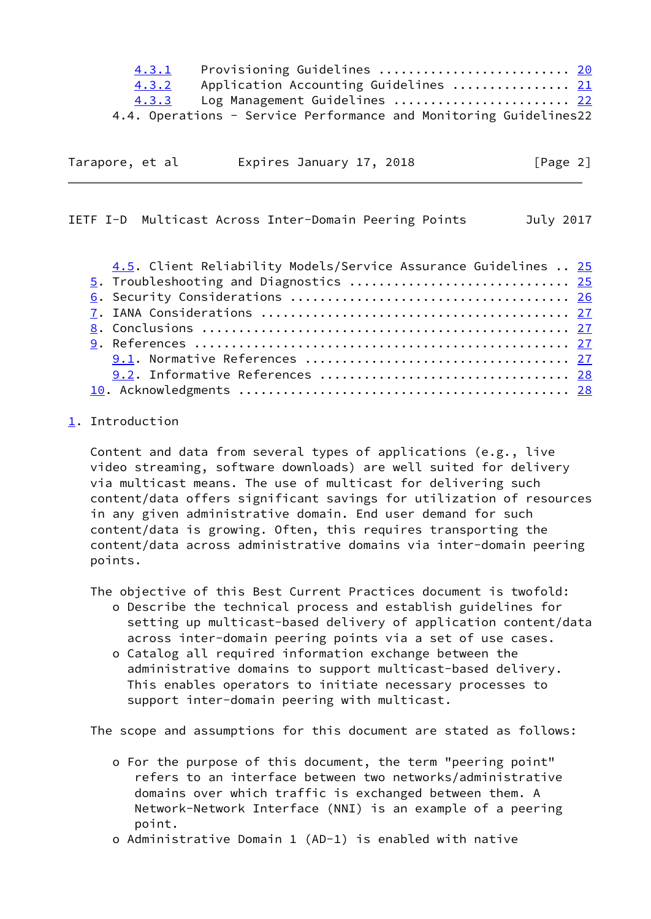|                 | 4.3.1<br>4.3.2<br>4.3.3 |                          | Provisioning Guidelines  20<br>Application Accounting Guidelines  21<br>Log Management Guidelines  22<br>4.4. Operations - Service Performance and Monitoring Guidelines22 |           |
|-----------------|-------------------------|--------------------------|----------------------------------------------------------------------------------------------------------------------------------------------------------------------------|-----------|
| Tarapore, et al |                         | Expires January 17, 2018 |                                                                                                                                                                            | [Page 2]  |
|                 |                         |                          | IETF I-D Multicast Across Inter-Domain Peering Points                                                                                                                      | July 2017 |
|                 |                         |                          | 4.5. Client Reliability Models/Service Assurance Guidelines  25<br>5. Troubleshooting and Diagnostics  25                                                                  |           |

<span id="page-2-1"></span> [8](#page-28-0). Conclusions .................................................. [27](#page-27-1) [9](#page-28-1). References ................................................... [27](#page-27-1) 9.1. Normative References .................................... [27](#page-27-1) 9.2. Informative References .................................. [28](#page-28-2) [10](#page-29-0). Acknowledgments ............................................. [28](#page-28-2)

# <span id="page-2-0"></span>[1](#page-2-0). Introduction

 Content and data from several types of applications (e.g., live video streaming, software downloads) are well suited for delivery via multicast means. The use of multicast for delivering such content/data offers significant savings for utilization of resources in any given administrative domain. End user demand for such content/data is growing. Often, this requires transporting the content/data across administrative domains via inter-domain peering points.

The objective of this Best Current Practices document is twofold:

- o Describe the technical process and establish guidelines for setting up multicast-based delivery of application content/data across inter-domain peering points via a set of use cases.
- o Catalog all required information exchange between the administrative domains to support multicast-based delivery. This enables operators to initiate necessary processes to support inter-domain peering with multicast.

The scope and assumptions for this document are stated as follows:

- o For the purpose of this document, the term "peering point" refers to an interface between two networks/administrative domains over which traffic is exchanged between them. A Network-Network Interface (NNI) is an example of a peering point.
- o Administrative Domain 1 (AD-1) is enabled with native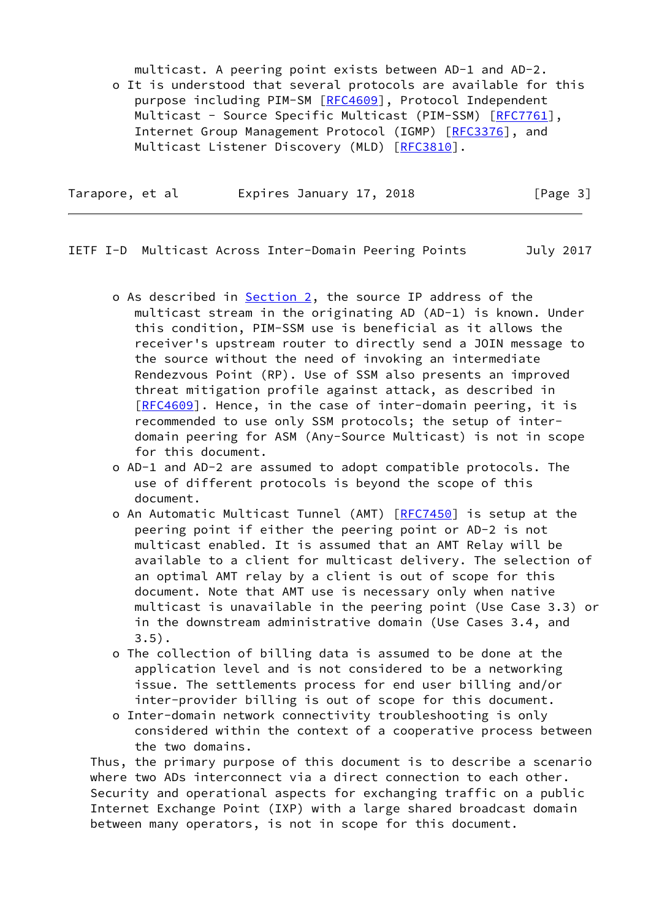multicast. A peering point exists between AD-1 and AD-2. o It is understood that several protocols are available for this purpose including PIM-SM [\[RFC4609](https://datatracker.ietf.org/doc/pdf/rfc4609)], Protocol Independent Multicast - Source Specific Multicast (PIM-SSM) [[RFC7761](https://datatracker.ietf.org/doc/pdf/rfc7761)], Internet Group Management Protocol (IGMP) [\[RFC3376](https://datatracker.ietf.org/doc/pdf/rfc3376)], and Multicast Listener Discovery (MLD) [\[RFC3810](https://datatracker.ietf.org/doc/pdf/rfc3810)].

| Tarapore, et al |  | Expires January 17, 2018 |  | [Page 3] |  |
|-----------------|--|--------------------------|--|----------|--|
|                 |  |                          |  |          |  |

- <span id="page-3-0"></span>IETF I-D Multicast Across Inter-Domain Peering Points July 2017
	- o As described in [Section 2](#page-4-0), the source IP address of the multicast stream in the originating AD (AD-1) is known. Under this condition, PIM-SSM use is beneficial as it allows the receiver's upstream router to directly send a JOIN message to the source without the need of invoking an intermediate Rendezvous Point (RP). Use of SSM also presents an improved threat mitigation profile against attack, as described in [[RFC4609](https://datatracker.ietf.org/doc/pdf/rfc4609)]. Hence, in the case of inter-domain peering, it is recommended to use only SSM protocols; the setup of inter domain peering for ASM (Any-Source Multicast) is not in scope for this document.
	- o AD-1 and AD-2 are assumed to adopt compatible protocols. The use of different protocols is beyond the scope of this document.
	- o An Automatic Multicast Tunnel (AMT) [\[RFC7450](https://datatracker.ietf.org/doc/pdf/rfc7450)] is setup at the peering point if either the peering point or AD-2 is not multicast enabled. It is assumed that an AMT Relay will be available to a client for multicast delivery. The selection of an optimal AMT relay by a client is out of scope for this document. Note that AMT use is necessary only when native multicast is unavailable in the peering point (Use Case 3.3) or in the downstream administrative domain (Use Cases 3.4, and  $3.5$ ).
	- o The collection of billing data is assumed to be done at the application level and is not considered to be a networking issue. The settlements process for end user billing and/or inter-provider billing is out of scope for this document.
	- o Inter-domain network connectivity troubleshooting is only considered within the context of a cooperative process between the two domains.

 Thus, the primary purpose of this document is to describe a scenario where two ADs interconnect via a direct connection to each other. Security and operational aspects for exchanging traffic on a public Internet Exchange Point (IXP) with a large shared broadcast domain between many operators, is not in scope for this document.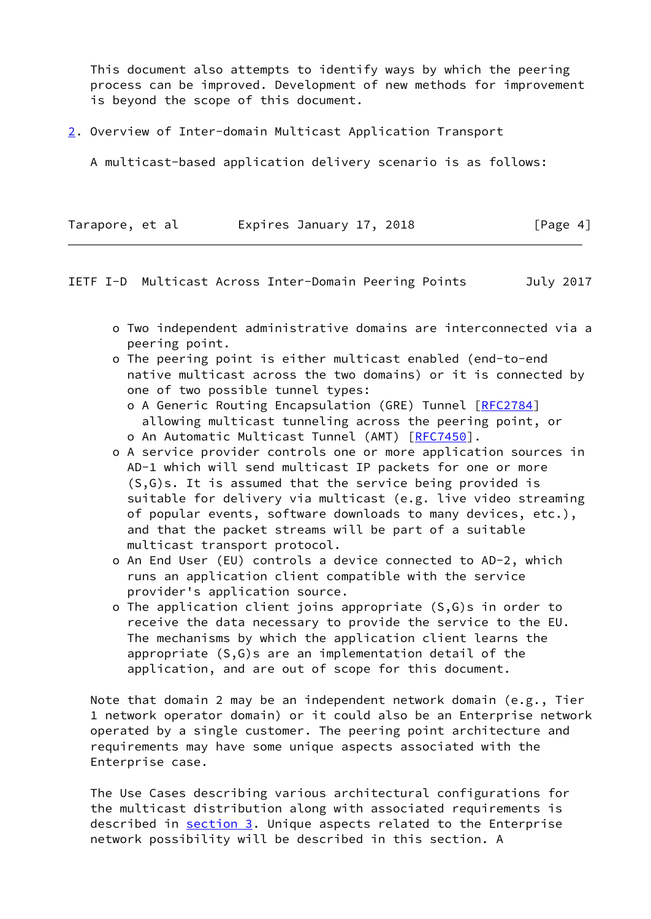This document also attempts to identify ways by which the peering process can be improved. Development of new methods for improvement is beyond the scope of this document.

<span id="page-4-0"></span>[2](#page-4-0). Overview of Inter-domain Multicast Application Transport

A multicast-based application delivery scenario is as follows:

| Tarapore, et al | Expires January 17, 2018 | [Page 4] |
|-----------------|--------------------------|----------|
|-----------------|--------------------------|----------|

IETF I-D Multicast Across Inter-Domain Peering Points July 2017

- o Two independent administrative domains are interconnected via a peering point.
- o The peering point is either multicast enabled (end-to-end native multicast across the two domains) or it is connected by one of two possible tunnel types:
	- o A Generic Routing Encapsulation (GRE) Tunnel [\[RFC2784](https://datatracker.ietf.org/doc/pdf/rfc2784)] allowing multicast tunneling across the peering point, or
	- o An Automatic Multicast Tunnel (AMT) [[RFC7450\]](https://datatracker.ietf.org/doc/pdf/rfc7450).
- o A service provider controls one or more application sources in AD-1 which will send multicast IP packets for one or more (S,G)s. It is assumed that the service being provided is suitable for delivery via multicast (e.g. live video streaming of popular events, software downloads to many devices, etc.), and that the packet streams will be part of a suitable multicast transport protocol.
- o An End User (EU) controls a device connected to AD-2, which runs an application client compatible with the service provider's application source.
- o The application client joins appropriate (S,G)s in order to receive the data necessary to provide the service to the EU. The mechanisms by which the application client learns the appropriate (S,G)s are an implementation detail of the application, and are out of scope for this document.

 Note that domain 2 may be an independent network domain (e.g., Tier 1 network operator domain) or it could also be an Enterprise network operated by a single customer. The peering point architecture and requirements may have some unique aspects associated with the Enterprise case.

 The Use Cases describing various architectural configurations for the multicast distribution along with associated requirements is described in [section 3](#page-5-0). Unique aspects related to the Enterprise network possibility will be described in this section. A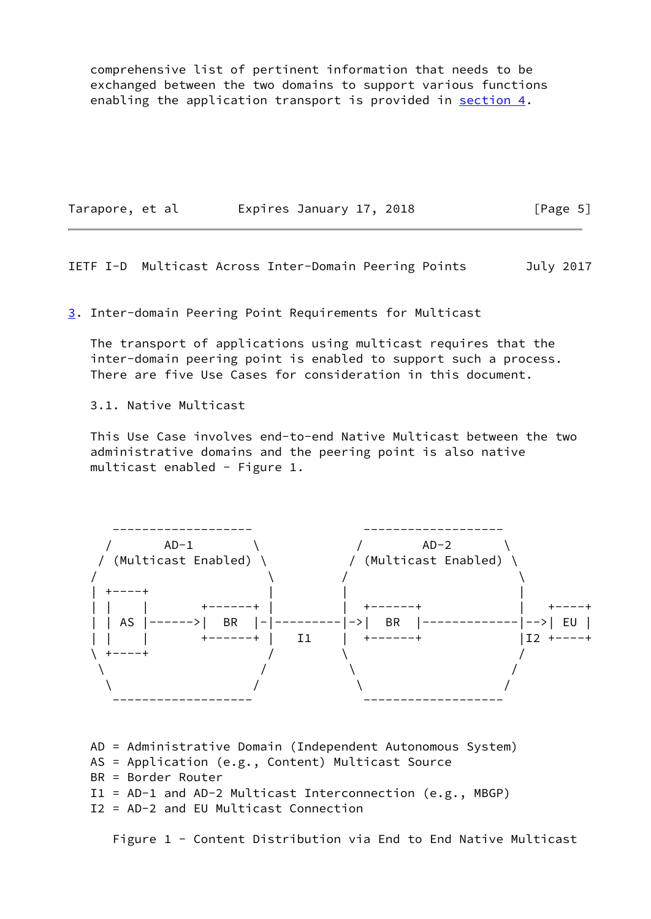comprehensive list of pertinent information that needs to be exchanged between the two domains to support various functions enabling the application transport is provided in [section 4.](#page-14-0)

| Tarapore, et al |  | Expires January 17, 2018 |  | [Page 5] |  |
|-----------------|--|--------------------------|--|----------|--|
|-----------------|--|--------------------------|--|----------|--|

<span id="page-5-1"></span>IETF I-D Multicast Across Inter-Domain Peering Points July 2017

<span id="page-5-0"></span>[3](#page-5-0). Inter-domain Peering Point Requirements for Multicast

 The transport of applications using multicast requires that the inter-domain peering point is enabled to support such a process. There are five Use Cases for consideration in this document.

3.1. Native Multicast

 This Use Case involves end-to-end Native Multicast between the two administrative domains and the peering point is also native multicast enabled - Figure 1.



 AD = Administrative Domain (Independent Autonomous System) AS = Application (e.g., Content) Multicast Source BR = Border Router I1 = AD-1 and AD-2 Multicast Interconnection (e.g., MBGP) I2 = AD-2 and EU Multicast Connection

Figure 1 - Content Distribution via End to End Native Multicast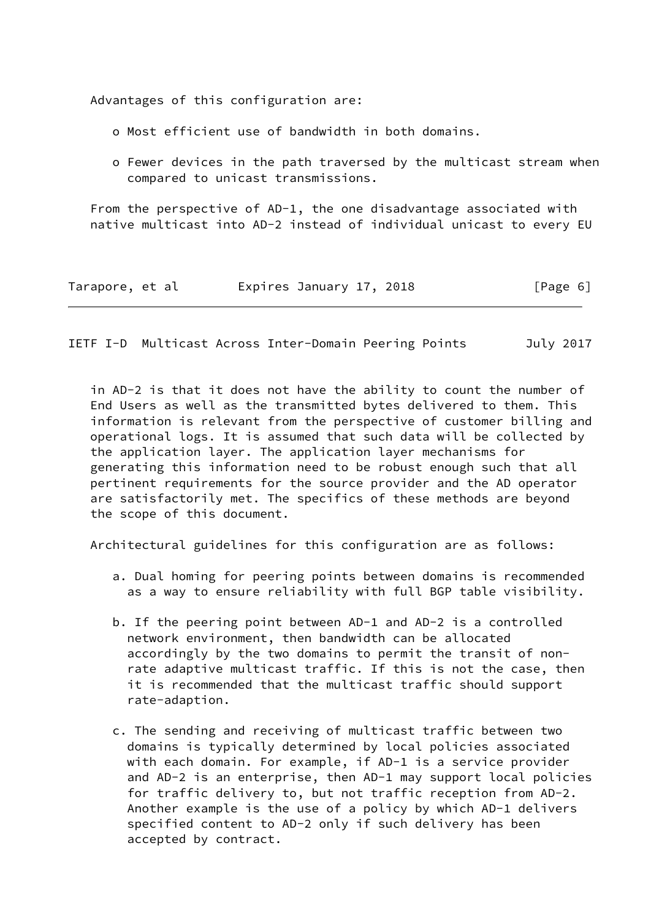Advantages of this configuration are:

- o Most efficient use of bandwidth in both domains.
- o Fewer devices in the path traversed by the multicast stream when compared to unicast transmissions.

 From the perspective of AD-1, the one disadvantage associated with native multicast into AD-2 instead of individual unicast to every EU

| Tarapore, et al |  |  | Expires January 17, 2018 |  | [Page 6] |  |
|-----------------|--|--|--------------------------|--|----------|--|
|-----------------|--|--|--------------------------|--|----------|--|

IETF I-D Multicast Across Inter-Domain Peering Points July 2017

 in AD-2 is that it does not have the ability to count the number of End Users as well as the transmitted bytes delivered to them. This information is relevant from the perspective of customer billing and operational logs. It is assumed that such data will be collected by the application layer. The application layer mechanisms for generating this information need to be robust enough such that all pertinent requirements for the source provider and the AD operator are satisfactorily met. The specifics of these methods are beyond the scope of this document.

Architectural guidelines for this configuration are as follows:

- a. Dual homing for peering points between domains is recommended as a way to ensure reliability with full BGP table visibility.
- b. If the peering point between AD-1 and AD-2 is a controlled network environment, then bandwidth can be allocated accordingly by the two domains to permit the transit of non rate adaptive multicast traffic. If this is not the case, then it is recommended that the multicast traffic should support rate-adaption.
- c. The sending and receiving of multicast traffic between two domains is typically determined by local policies associated with each domain. For example, if AD-1 is a service provider and AD-2 is an enterprise, then AD-1 may support local policies for traffic delivery to, but not traffic reception from AD-2. Another example is the use of a policy by which AD-1 delivers specified content to AD-2 only if such delivery has been accepted by contract.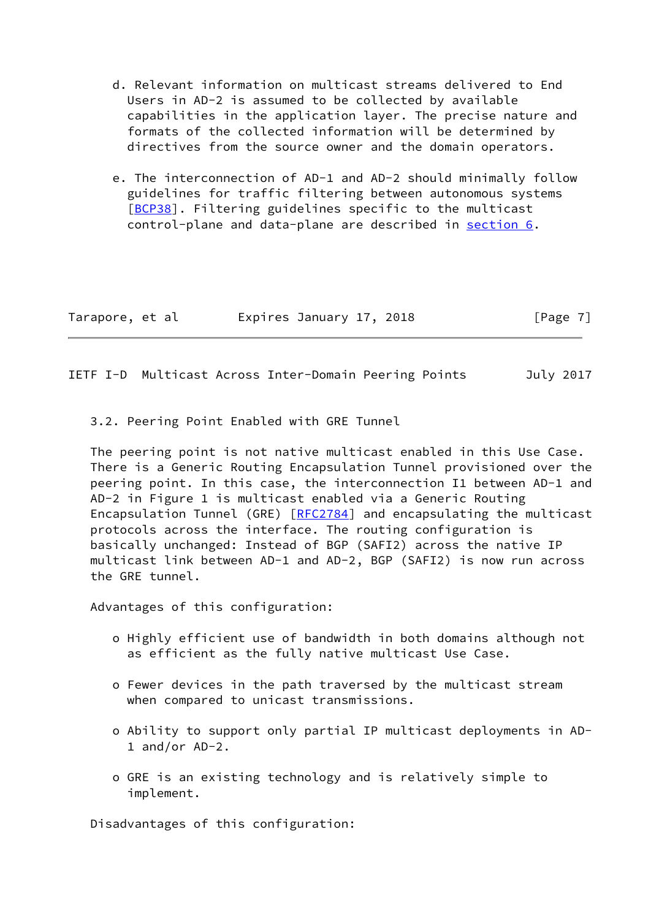- d. Relevant information on multicast streams delivered to End Users in AD-2 is assumed to be collected by available capabilities in the application layer. The precise nature and formats of the collected information will be determined by directives from the source owner and the domain operators.
- e. The interconnection of AD-1 and AD-2 should minimally follow guidelines for traffic filtering between autonomous systems [\[BCP38\]](#page-29-1). Filtering guidelines specific to the multicast control-plane and data-plane are described in [section 6.](#page-26-0)

| Tarapore, et al | Expires January 17, 2018 |  | [Page 7] |
|-----------------|--------------------------|--|----------|
|-----------------|--------------------------|--|----------|

<span id="page-7-0"></span>IETF I-D Multicast Across Inter-Domain Peering Points July 2017

3.2. Peering Point Enabled with GRE Tunnel

 The peering point is not native multicast enabled in this Use Case. There is a Generic Routing Encapsulation Tunnel provisioned over the peering point. In this case, the interconnection I1 between AD-1 and AD-2 in Figure 1 is multicast enabled via a Generic Routing Encapsulation Tunnel (GRE) [[RFC2784\]](https://datatracker.ietf.org/doc/pdf/rfc2784) and encapsulating the multicast protocols across the interface. The routing configuration is basically unchanged: Instead of BGP (SAFI2) across the native IP multicast link between AD-1 and AD-2, BGP (SAFI2) is now run across the GRE tunnel.

Advantages of this configuration:

- o Highly efficient use of bandwidth in both domains although not as efficient as the fully native multicast Use Case.
- o Fewer devices in the path traversed by the multicast stream when compared to unicast transmissions.
- o Ability to support only partial IP multicast deployments in AD- 1 and/or AD-2.
- o GRE is an existing technology and is relatively simple to implement.

Disadvantages of this configuration: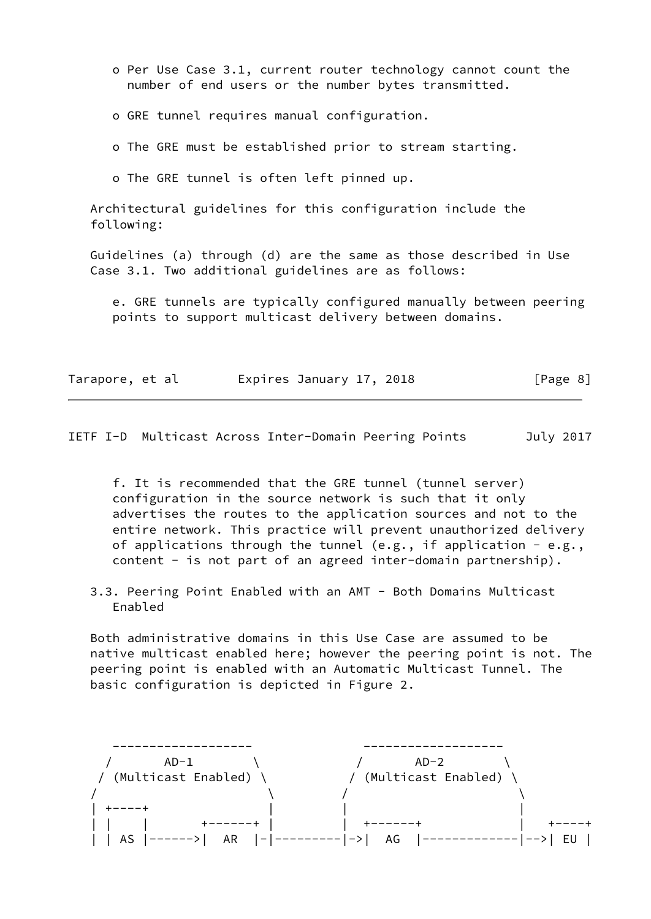- o Per Use Case 3.1, current router technology cannot count the number of end users or the number bytes transmitted.
- o GRE tunnel requires manual configuration.
- o The GRE must be established prior to stream starting.
- o The GRE tunnel is often left pinned up.

 Architectural guidelines for this configuration include the following:

 Guidelines (a) through (d) are the same as those described in Use Case 3.1. Two additional guidelines are as follows:

 e. GRE tunnels are typically configured manually between peering points to support multicast delivery between domains.

| Tarapore, et al |  | Expires January 17, 2018 |  | [Page 8] |
|-----------------|--|--------------------------|--|----------|
|-----------------|--|--------------------------|--|----------|

<span id="page-8-0"></span>IETF I-D Multicast Across Inter-Domain Peering Points July 2017

 f. It is recommended that the GRE tunnel (tunnel server) configuration in the source network is such that it only advertises the routes to the application sources and not to the entire network. This practice will prevent unauthorized delivery of applications through the tunnel (e.g., if application - e.g., content - is not part of an agreed inter-domain partnership).

 3.3. Peering Point Enabled with an AMT - Both Domains Multicast Enabled

 Both administrative domains in this Use Case are assumed to be native multicast enabled here; however the peering point is not. The peering point is enabled with an Automatic Multicast Tunnel. The basic configuration is depicted in Figure 2.

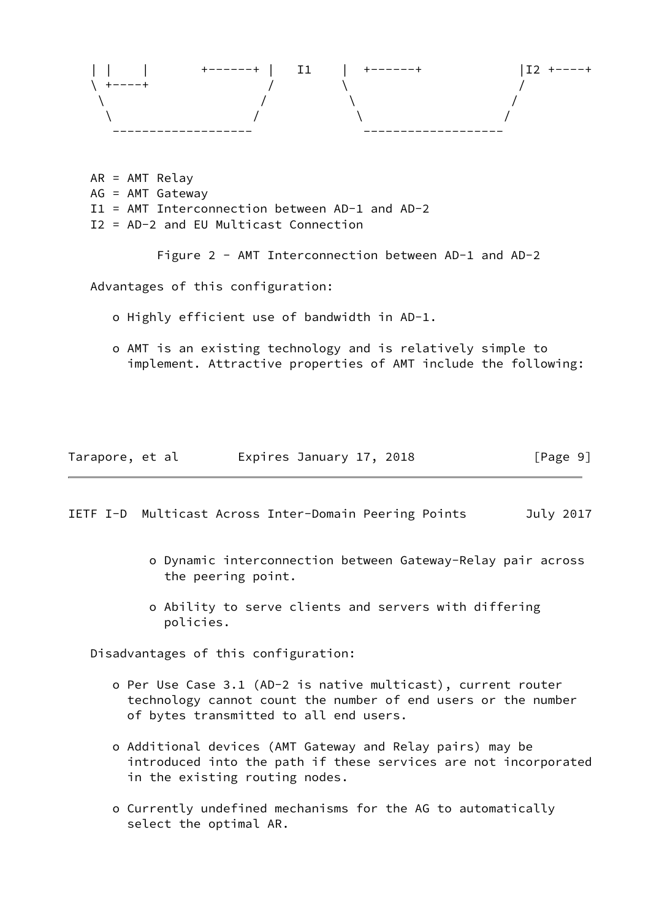

 AR = AMT Relay AG = AMT Gateway I1 = AMT Interconnection between AD-1 and AD-2 I2 = AD-2 and EU Multicast Connection

Figure 2 - AMT Interconnection between AD-1 and AD-2

Advantages of this configuration:

- o Highly efficient use of bandwidth in AD-1.
- o AMT is an existing technology and is relatively simple to implement. Attractive properties of AMT include the following:

| Tarapore, et al | Expires January 17, 2018 | [Page 9] |
|-----------------|--------------------------|----------|
|-----------------|--------------------------|----------|

<span id="page-9-0"></span>IETF I-D Multicast Across Inter-Domain Peering Points July 2017

- o Dynamic interconnection between Gateway-Relay pair across the peering point.
- o Ability to serve clients and servers with differing policies.

Disadvantages of this configuration:

- o Per Use Case 3.1 (AD-2 is native multicast), current router technology cannot count the number of end users or the number of bytes transmitted to all end users.
- o Additional devices (AMT Gateway and Relay pairs) may be introduced into the path if these services are not incorporated in the existing routing nodes.
- o Currently undefined mechanisms for the AG to automatically select the optimal AR.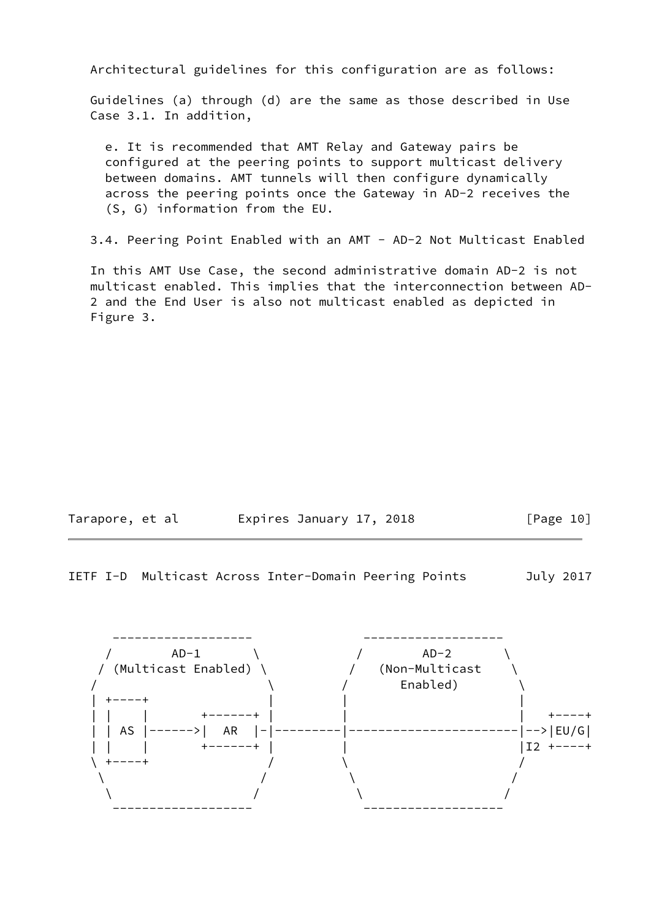Architectural guidelines for this configuration are as follows:

 Guidelines (a) through (d) are the same as those described in Use Case 3.1. In addition,

 e. It is recommended that AMT Relay and Gateway pairs be configured at the peering points to support multicast delivery between domains. AMT tunnels will then configure dynamically across the peering points once the Gateway in AD-2 receives the (S, G) information from the EU.

3.4. Peering Point Enabled with an AMT - AD-2 Not Multicast Enabled

 In this AMT Use Case, the second administrative domain AD-2 is not multicast enabled. This implies that the interconnection between AD- 2 and the End User is also not multicast enabled as depicted in Figure 3.

| Tarapore, et al | Expires January 17, 2018 | [Page 10] |
|-----------------|--------------------------|-----------|
|-----------------|--------------------------|-----------|

IETF I-D Multicast Across Inter-Domain Peering Points July 2017

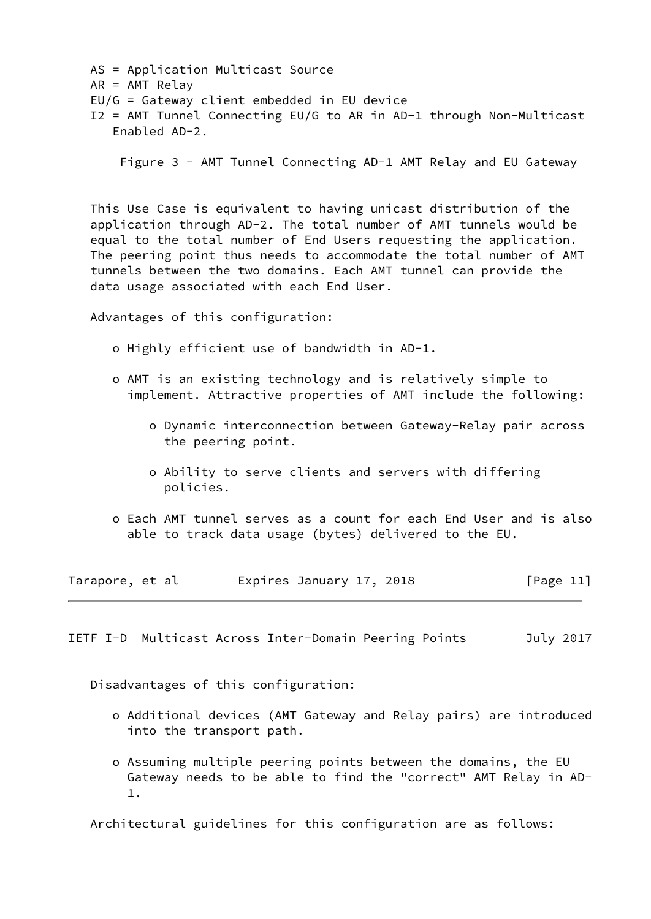AS = Application Multicast Source AR = AMT Relay EU/G = Gateway client embedded in EU device I2 = AMT Tunnel Connecting EU/G to AR in AD-1 through Non-Multicast Enabled AD-2.

Figure 3 - AMT Tunnel Connecting AD-1 AMT Relay and EU Gateway

 This Use Case is equivalent to having unicast distribution of the application through AD-2. The total number of AMT tunnels would be equal to the total number of End Users requesting the application. The peering point thus needs to accommodate the total number of AMT tunnels between the two domains. Each AMT tunnel can provide the data usage associated with each End User.

Advantages of this configuration:

- o Highly efficient use of bandwidth in AD-1.
- o AMT is an existing technology and is relatively simple to implement. Attractive properties of AMT include the following:
	- o Dynamic interconnection between Gateway-Relay pair across the peering point.
	- o Ability to serve clients and servers with differing policies.
- o Each AMT tunnel serves as a count for each End User and is also able to track data usage (bytes) delivered to the EU.

| Tarapore, et al | Expires January 17, 2018 | [Page 11] |
|-----------------|--------------------------|-----------|
|-----------------|--------------------------|-----------|

<span id="page-11-0"></span>IETF I-D Multicast Across Inter-Domain Peering Points July 2017

Disadvantages of this configuration:

- o Additional devices (AMT Gateway and Relay pairs) are introduced into the transport path.
- o Assuming multiple peering points between the domains, the EU Gateway needs to be able to find the "correct" AMT Relay in AD- 1.

Architectural guidelines for this configuration are as follows: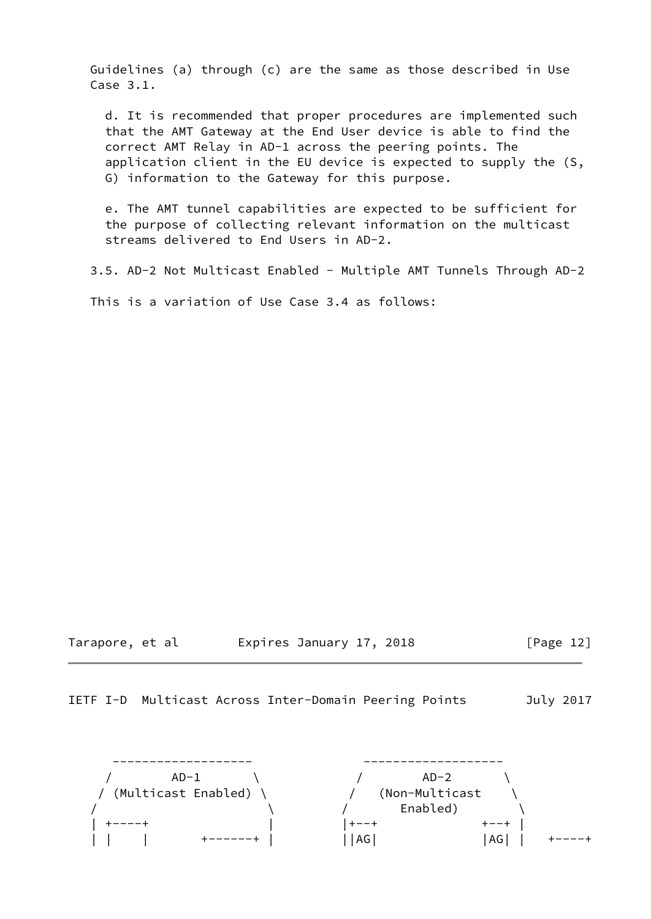Guidelines (a) through (c) are the same as those described in Use Case 3.1.

 d. It is recommended that proper procedures are implemented such that the AMT Gateway at the End User device is able to find the correct AMT Relay in AD-1 across the peering points. The application client in the EU device is expected to supply the (S, G) information to the Gateway for this purpose.

 e. The AMT tunnel capabilities are expected to be sufficient for the purpose of collecting relevant information on the multicast streams delivered to End Users in AD-2.

3.5. AD-2 Not Multicast Enabled - Multiple AMT Tunnels Through AD-2

This is a variation of Use Case 3.4 as follows:

Tarapore, et al expires January 17, 2018 [Page 12]

IETF I-D Multicast Across Inter-Domain Peering Points July 2017

 ------------------- ------------------- / AD-1 \ / AD-2 \ / (Multicast Enabled) \ / (Non-Multicast \  $\setminus$   $\setminus$   $\setminus$   $\setminus$  Enabled)  $\setminus$  | +----+ | |+--+ +--+ | | | | +------+ | ||AG| |AG| | +----+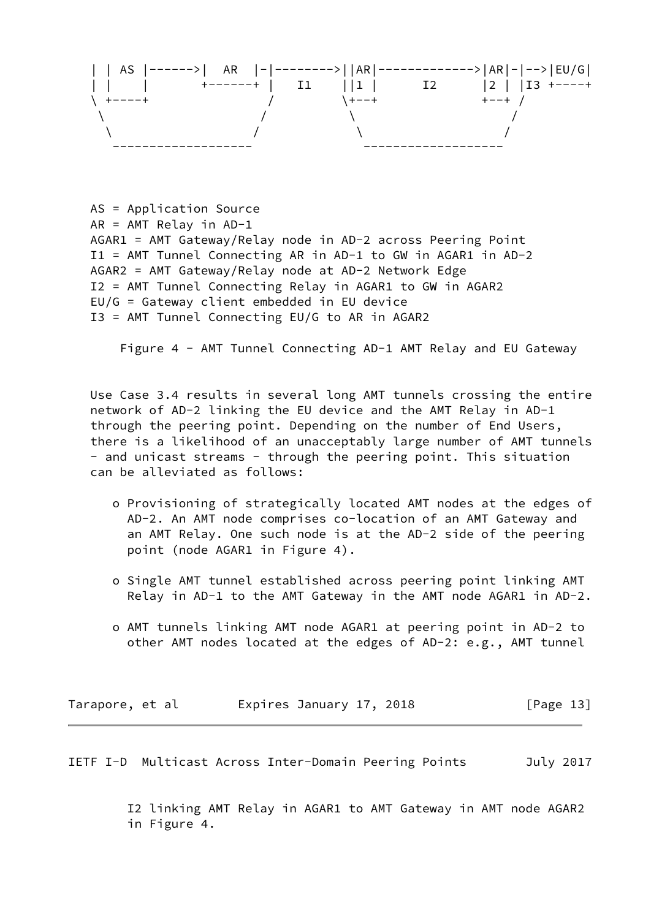

 AS = Application Source AR = AMT Relay in AD-1 AGAR1 = AMT Gateway/Relay node in AD-2 across Peering Point I1 = AMT Tunnel Connecting AR in AD-1 to GW in AGAR1 in AD-2 AGAR2 = AMT Gateway/Relay node at AD-2 Network Edge I2 = AMT Tunnel Connecting Relay in AGAR1 to GW in AGAR2 EU/G = Gateway client embedded in EU device I3 = AMT Tunnel Connecting EU/G to AR in AGAR2

Figure 4 - AMT Tunnel Connecting AD-1 AMT Relay and EU Gateway

 Use Case 3.4 results in several long AMT tunnels crossing the entire network of AD-2 linking the EU device and the AMT Relay in AD-1 through the peering point. Depending on the number of End Users, there is a likelihood of an unacceptably large number of AMT tunnels - and unicast streams - through the peering point. This situation can be alleviated as follows:

- o Provisioning of strategically located AMT nodes at the edges of AD-2. An AMT node comprises co-location of an AMT Gateway and an AMT Relay. One such node is at the AD-2 side of the peering point (node AGAR1 in Figure 4).
- o Single AMT tunnel established across peering point linking AMT Relay in AD-1 to the AMT Gateway in the AMT node AGAR1 in AD-2.
- o AMT tunnels linking AMT node AGAR1 at peering point in AD-2 to other AMT nodes located at the edges of AD-2: e.g., AMT tunnel

Tarapore, et al expires January 17, 2018 [Page 13]

<span id="page-13-0"></span>IETF I-D Multicast Across Inter-Domain Peering Points July 2017

 I2 linking AMT Relay in AGAR1 to AMT Gateway in AMT node AGAR2 in Figure 4.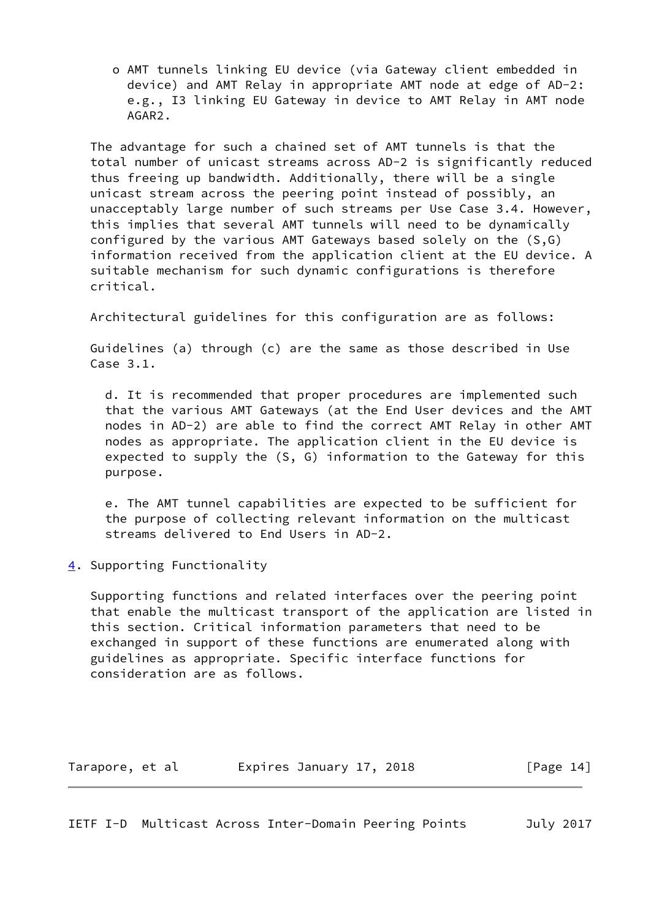o AMT tunnels linking EU device (via Gateway client embedded in device) and AMT Relay in appropriate AMT node at edge of AD-2: e.g., I3 linking EU Gateway in device to AMT Relay in AMT node AGAR2.

 The advantage for such a chained set of AMT tunnels is that the total number of unicast streams across AD-2 is significantly reduced thus freeing up bandwidth. Additionally, there will be a single unicast stream across the peering point instead of possibly, an unacceptably large number of such streams per Use Case 3.4. However, this implies that several AMT tunnels will need to be dynamically configured by the various AMT Gateways based solely on the (S,G) information received from the application client at the EU device. A suitable mechanism for such dynamic configurations is therefore critical.

Architectural guidelines for this configuration are as follows:

 Guidelines (a) through (c) are the same as those described in Use Case 3.1.

 d. It is recommended that proper procedures are implemented such that the various AMT Gateways (at the End User devices and the AMT nodes in AD-2) are able to find the correct AMT Relay in other AMT nodes as appropriate. The application client in the EU device is expected to supply the (S, G) information to the Gateway for this purpose.

 e. The AMT tunnel capabilities are expected to be sufficient for the purpose of collecting relevant information on the multicast streams delivered to End Users in AD-2.

<span id="page-14-0"></span>[4](#page-14-0). Supporting Functionality

 Supporting functions and related interfaces over the peering point that enable the multicast transport of the application are listed in this section. Critical information parameters that need to be exchanged in support of these functions are enumerated along with guidelines as appropriate. Specific interface functions for consideration are as follows.

| Tarapore, et al |  | Expires January 17, 2018 |  |  | [Page 14] |  |  |
|-----------------|--|--------------------------|--|--|-----------|--|--|
|-----------------|--|--------------------------|--|--|-----------|--|--|

<span id="page-14-1"></span>IETF I-D Multicast Across Inter-Domain Peering Points July 2017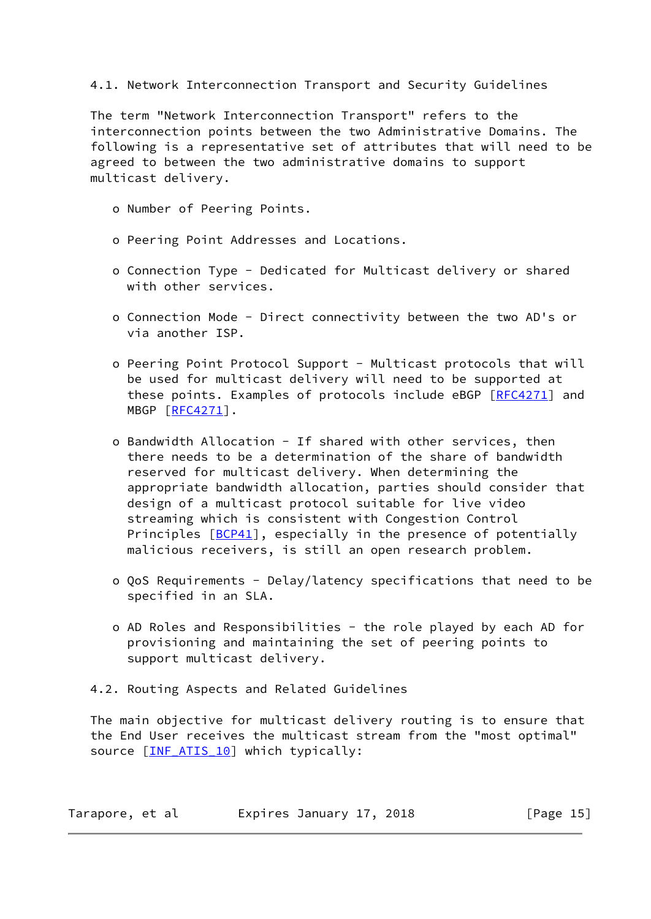## 4.1. Network Interconnection Transport and Security Guidelines

 The term "Network Interconnection Transport" refers to the interconnection points between the two Administrative Domains. The following is a representative set of attributes that will need to be agreed to between the two administrative domains to support multicast delivery.

- o Number of Peering Points.
- o Peering Point Addresses and Locations.
- o Connection Type Dedicated for Multicast delivery or shared with other services.
- o Connection Mode Direct connectivity between the two AD's or via another ISP.
- o Peering Point Protocol Support Multicast protocols that will be used for multicast delivery will need to be supported at these points. Examples of protocols include eBGP [[RFC4271](https://datatracker.ietf.org/doc/pdf/rfc4271)] and MBGP [[RFC4271](https://datatracker.ietf.org/doc/pdf/rfc4271)].
- o Bandwidth Allocation If shared with other services, then there needs to be a determination of the share of bandwidth reserved for multicast delivery. When determining the appropriate bandwidth allocation, parties should consider that design of a multicast protocol suitable for live video streaming which is consistent with Congestion Control Principles [\[BCP41](#page-29-2)], especially in the presence of potentially malicious receivers, is still an open research problem.
- o QoS Requirements Delay/latency specifications that need to be specified in an SLA.
- o AD Roles and Responsibilities the role played by each AD for provisioning and maintaining the set of peering points to support multicast delivery.
- 4.2. Routing Aspects and Related Guidelines

 The main objective for multicast delivery routing is to ensure that the End User receives the multicast stream from the "most optimal" source [INF ATIS 10] which typically:

| Tarapore, et al | Expires January 17, 2018 | [Page 15] |
|-----------------|--------------------------|-----------|
|-----------------|--------------------------|-----------|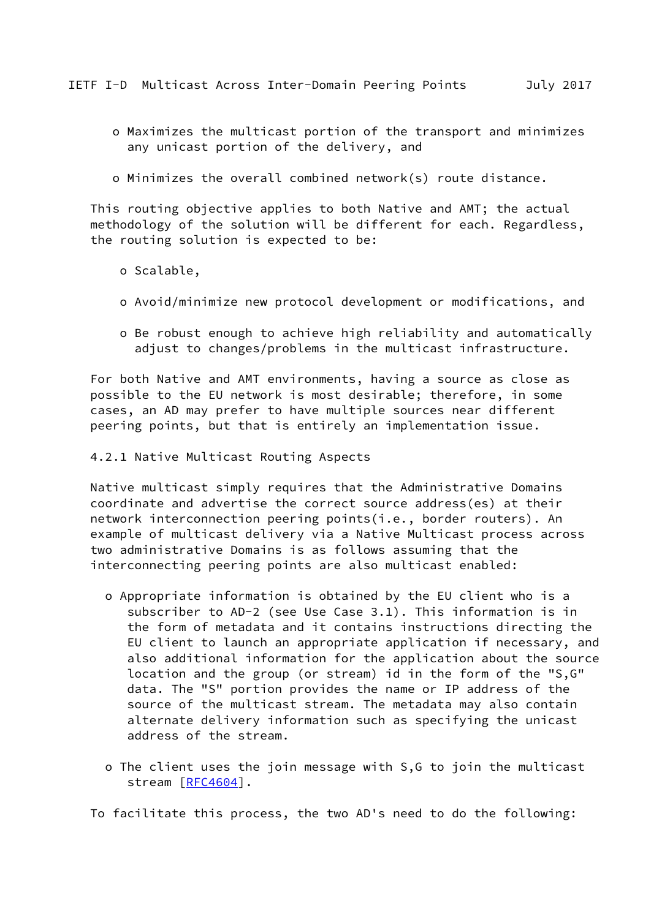- <span id="page-16-0"></span> o Maximizes the multicast portion of the transport and minimizes any unicast portion of the delivery, and
- o Minimizes the overall combined network(s) route distance.

 This routing objective applies to both Native and AMT; the actual methodology of the solution will be different for each. Regardless, the routing solution is expected to be:

- o Scalable,
- o Avoid/minimize new protocol development or modifications, and
- o Be robust enough to achieve high reliability and automatically adjust to changes/problems in the multicast infrastructure.

 For both Native and AMT environments, having a source as close as possible to the EU network is most desirable; therefore, in some cases, an AD may prefer to have multiple sources near different peering points, but that is entirely an implementation issue.

4.2.1 Native Multicast Routing Aspects

 Native multicast simply requires that the Administrative Domains coordinate and advertise the correct source address(es) at their network interconnection peering points(i.e., border routers). An example of multicast delivery via a Native Multicast process across two administrative Domains is as follows assuming that the interconnecting peering points are also multicast enabled:

- o Appropriate information is obtained by the EU client who is a subscriber to AD-2 (see Use Case 3.1). This information is in the form of metadata and it contains instructions directing the EU client to launch an appropriate application if necessary, and also additional information for the application about the source location and the group (or stream) id in the form of the "S,G" data. The "S" portion provides the name or IP address of the source of the multicast stream. The metadata may also contain alternate delivery information such as specifying the unicast address of the stream.
- o The client uses the join message with S,G to join the multicast stream [\[RFC4604](https://datatracker.ietf.org/doc/pdf/rfc4604)].

To facilitate this process, the two AD's need to do the following: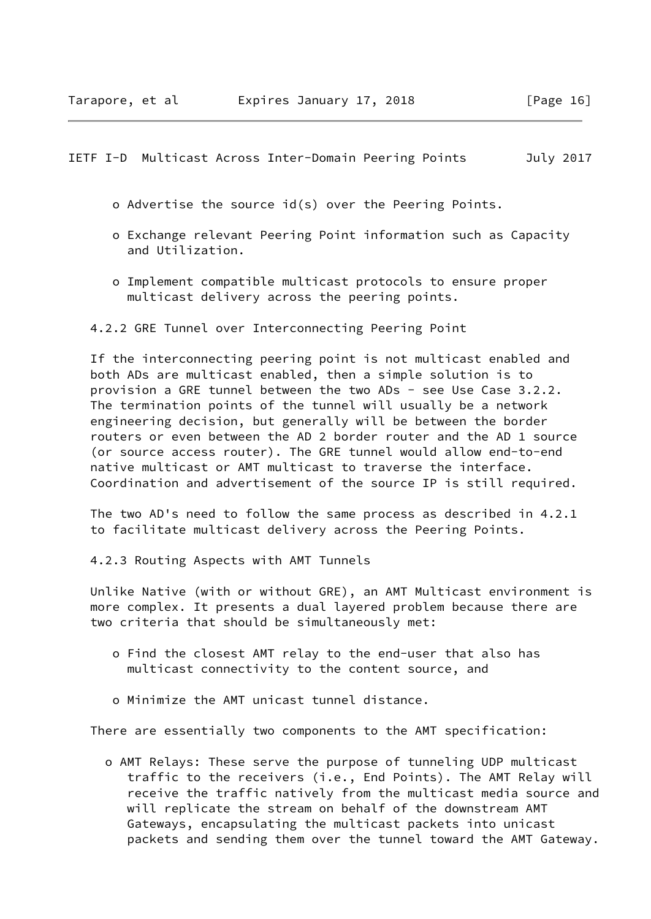<span id="page-17-0"></span>IETF I-D Multicast Across Inter-Domain Peering Points July 2017

- o Advertise the source id(s) over the Peering Points.
- o Exchange relevant Peering Point information such as Capacity and Utilization.
- o Implement compatible multicast protocols to ensure proper multicast delivery across the peering points.
- 4.2.2 GRE Tunnel over Interconnecting Peering Point

 If the interconnecting peering point is not multicast enabled and both ADs are multicast enabled, then a simple solution is to provision a GRE tunnel between the two ADs - see Use Case 3.2.2. The termination points of the tunnel will usually be a network engineering decision, but generally will be between the border routers or even between the AD 2 border router and the AD 1 source (or source access router). The GRE tunnel would allow end-to-end native multicast or AMT multicast to traverse the interface. Coordination and advertisement of the source IP is still required.

 The two AD's need to follow the same process as described in 4.2.1 to facilitate multicast delivery across the Peering Points.

4.2.3 Routing Aspects with AMT Tunnels

 Unlike Native (with or without GRE), an AMT Multicast environment is more complex. It presents a dual layered problem because there are two criteria that should be simultaneously met:

- o Find the closest AMT relay to the end-user that also has multicast connectivity to the content source, and
- o Minimize the AMT unicast tunnel distance.

There are essentially two components to the AMT specification:

 o AMT Relays: These serve the purpose of tunneling UDP multicast traffic to the receivers (i.e., End Points). The AMT Relay will receive the traffic natively from the multicast media source and will replicate the stream on behalf of the downstream AMT Gateways, encapsulating the multicast packets into unicast packets and sending them over the tunnel toward the AMT Gateway.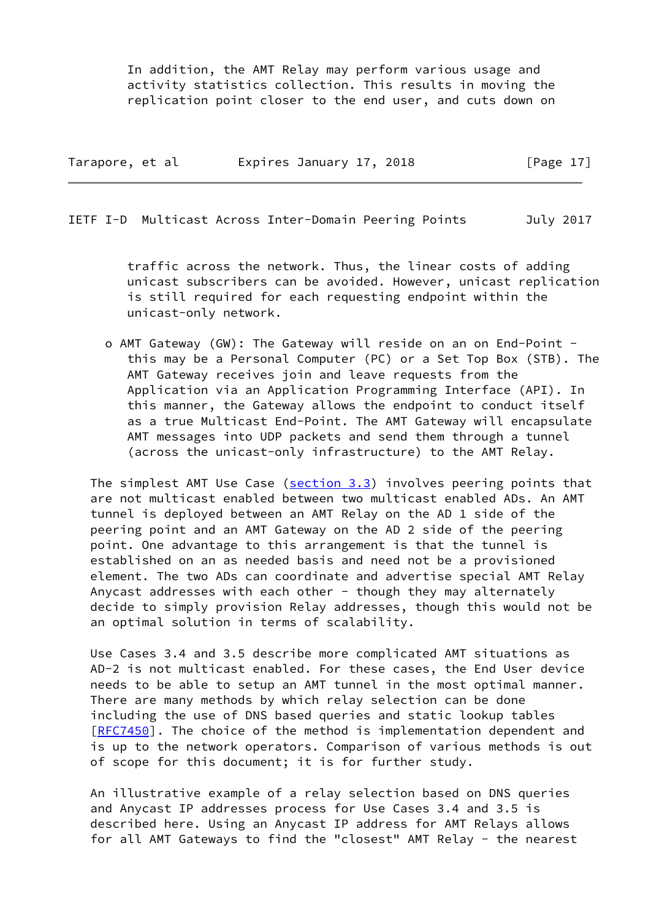In addition, the AMT Relay may perform various usage and activity statistics collection. This results in moving the replication point closer to the end user, and cuts down on

| Tarapore, et al | Expires January 17, 2018 | [Page $17$ ] |
|-----------------|--------------------------|--------------|
|-----------------|--------------------------|--------------|

IETF I-D Multicast Across Inter-Domain Peering Points July 2017

 traffic across the network. Thus, the linear costs of adding unicast subscribers can be avoided. However, unicast replication is still required for each requesting endpoint within the unicast-only network.

 o AMT Gateway (GW): The Gateway will reside on an on End-Point this may be a Personal Computer (PC) or a Set Top Box (STB). The AMT Gateway receives join and leave requests from the Application via an Application Programming Interface (API). In this manner, the Gateway allows the endpoint to conduct itself as a true Multicast End-Point. The AMT Gateway will encapsulate AMT messages into UDP packets and send them through a tunnel (across the unicast-only infrastructure) to the AMT Relay.

 The simplest AMT Use Case (section 3.3) involves peering points that are not multicast enabled between two multicast enabled ADs. An AMT tunnel is deployed between an AMT Relay on the AD 1 side of the peering point and an AMT Gateway on the AD 2 side of the peering point. One advantage to this arrangement is that the tunnel is established on an as needed basis and need not be a provisioned element. The two ADs can coordinate and advertise special AMT Relay Anycast addresses with each other - though they may alternately decide to simply provision Relay addresses, though this would not be an optimal solution in terms of scalability.

 Use Cases 3.4 and 3.5 describe more complicated AMT situations as AD-2 is not multicast enabled. For these cases, the End User device needs to be able to setup an AMT tunnel in the most optimal manner. There are many methods by which relay selection can be done including the use of DNS based queries and static lookup tables [\[RFC7450](https://datatracker.ietf.org/doc/pdf/rfc7450)]. The choice of the method is implementation dependent and is up to the network operators. Comparison of various methods is out of scope for this document; it is for further study.

 An illustrative example of a relay selection based on DNS queries and Anycast IP addresses process for Use Cases 3.4 and 3.5 is described here. Using an Anycast IP address for AMT Relays allows for all AMT Gateways to find the "closest" AMT Relay - the nearest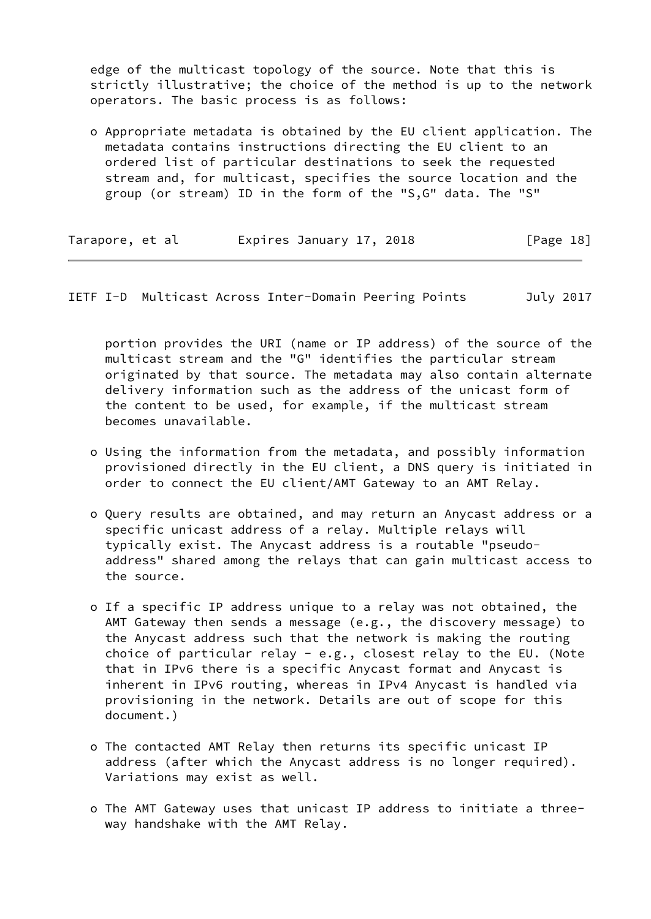edge of the multicast topology of the source. Note that this is strictly illustrative; the choice of the method is up to the network operators. The basic process is as follows:

 o Appropriate metadata is obtained by the EU client application. The metadata contains instructions directing the EU client to an ordered list of particular destinations to seek the requested stream and, for multicast, specifies the source location and the group (or stream) ID in the form of the "S,G" data. The "S"

| Tarapore, et al | Expires January 17, 2018 | [Page 18] |
|-----------------|--------------------------|-----------|
|-----------------|--------------------------|-----------|

IETF I-D Multicast Across Inter-Domain Peering Points July 2017

 portion provides the URI (name or IP address) of the source of the multicast stream and the "G" identifies the particular stream originated by that source. The metadata may also contain alternate delivery information such as the address of the unicast form of the content to be used, for example, if the multicast stream becomes unavailable.

- o Using the information from the metadata, and possibly information provisioned directly in the EU client, a DNS query is initiated in order to connect the EU client/AMT Gateway to an AMT Relay.
- o Query results are obtained, and may return an Anycast address or a specific unicast address of a relay. Multiple relays will typically exist. The Anycast address is a routable "pseudo address" shared among the relays that can gain multicast access to the source.
- o If a specific IP address unique to a relay was not obtained, the AMT Gateway then sends a message (e.g., the discovery message) to the Anycast address such that the network is making the routing choice of particular relay - e.g., closest relay to the EU. (Note that in IPv6 there is a specific Anycast format and Anycast is inherent in IPv6 routing, whereas in IPv4 Anycast is handled via provisioning in the network. Details are out of scope for this document.)
- o The contacted AMT Relay then returns its specific unicast IP address (after which the Anycast address is no longer required). Variations may exist as well.
- o The AMT Gateway uses that unicast IP address to initiate a three way handshake with the AMT Relay.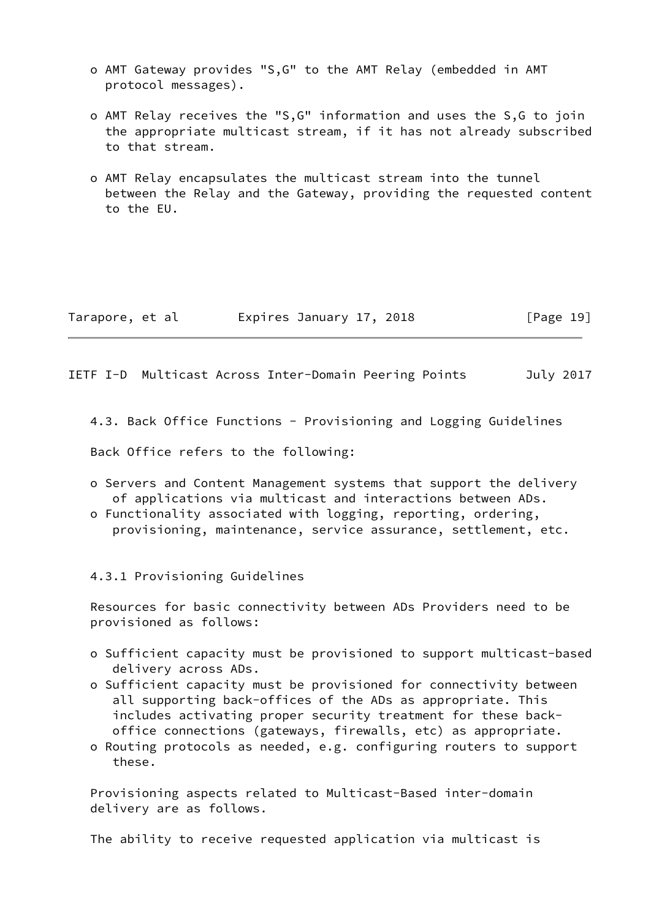- o AMT Gateway provides "S,G" to the AMT Relay (embedded in AMT protocol messages).
- o AMT Relay receives the "S,G" information and uses the S,G to join the appropriate multicast stream, if it has not already subscribed to that stream.
- o AMT Relay encapsulates the multicast stream into the tunnel between the Relay and the Gateway, providing the requested content to the EU.

| Tarapore, et al | Expires January 17, 2018 | [Page 19] |
|-----------------|--------------------------|-----------|
|-----------------|--------------------------|-----------|

<span id="page-20-0"></span>IETF I-D Multicast Across Inter-Domain Peering Points July 2017

4.3. Back Office Functions - Provisioning and Logging Guidelines

Back Office refers to the following:

- o Servers and Content Management systems that support the delivery of applications via multicast and interactions between ADs.
- o Functionality associated with logging, reporting, ordering, provisioning, maintenance, service assurance, settlement, etc.

4.3.1 Provisioning Guidelines

 Resources for basic connectivity between ADs Providers need to be provisioned as follows:

- o Sufficient capacity must be provisioned to support multicast-based delivery across ADs.
- o Sufficient capacity must be provisioned for connectivity between all supporting back-offices of the ADs as appropriate. This includes activating proper security treatment for these back office connections (gateways, firewalls, etc) as appropriate.
- o Routing protocols as needed, e.g. configuring routers to support these.

 Provisioning aspects related to Multicast-Based inter-domain delivery are as follows.

The ability to receive requested application via multicast is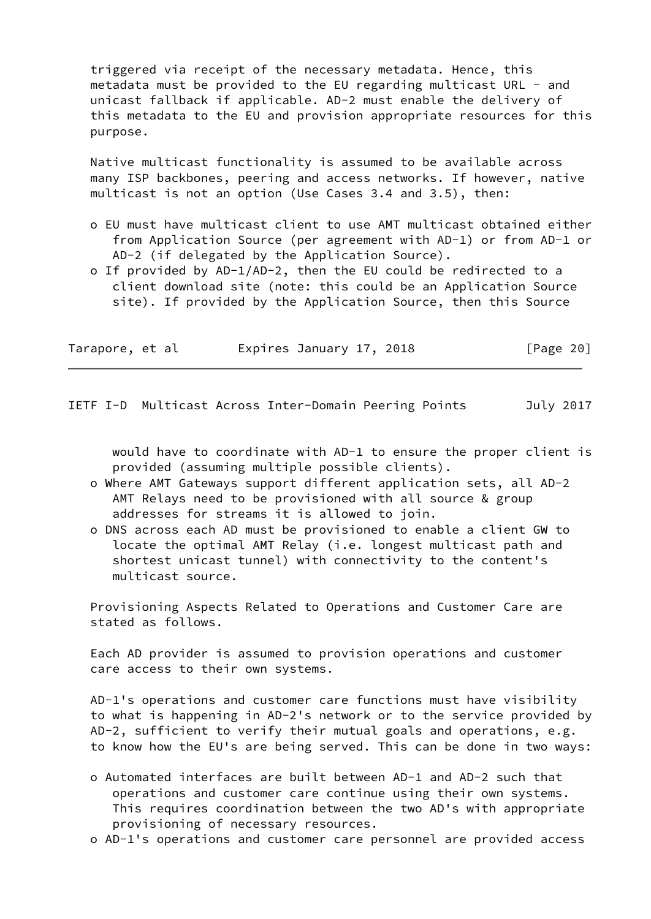triggered via receipt of the necessary metadata. Hence, this metadata must be provided to the EU regarding multicast URL - and unicast fallback if applicable. AD-2 must enable the delivery of this metadata to the EU and provision appropriate resources for this purpose.

 Native multicast functionality is assumed to be available across many ISP backbones, peering and access networks. If however, native multicast is not an option (Use Cases 3.4 and 3.5), then:

- o EU must have multicast client to use AMT multicast obtained either from Application Source (per agreement with AD-1) or from AD-1 or AD-2 (if delegated by the Application Source).
- o If provided by AD-1/AD-2, then the EU could be redirected to a client download site (note: this could be an Application Source site). If provided by the Application Source, then this Source

| Tarapore, et al |  | Expires January 17, 2018 |  |  | [Page 20] |  |
|-----------------|--|--------------------------|--|--|-----------|--|
|-----------------|--|--------------------------|--|--|-----------|--|

<span id="page-21-0"></span>IETF I-D Multicast Across Inter-Domain Peering Points July 2017

 would have to coordinate with AD-1 to ensure the proper client is provided (assuming multiple possible clients).

- o Where AMT Gateways support different application sets, all AD-2 AMT Relays need to be provisioned with all source & group addresses for streams it is allowed to join.
- o DNS across each AD must be provisioned to enable a client GW to locate the optimal AMT Relay (i.e. longest multicast path and shortest unicast tunnel) with connectivity to the content's multicast source.

 Provisioning Aspects Related to Operations and Customer Care are stated as follows.

 Each AD provider is assumed to provision operations and customer care access to their own systems.

 AD-1's operations and customer care functions must have visibility to what is happening in AD-2's network or to the service provided by AD-2, sufficient to verify their mutual goals and operations, e.g. to know how the EU's are being served. This can be done in two ways:

- o Automated interfaces are built between AD-1 and AD-2 such that operations and customer care continue using their own systems. This requires coordination between the two AD's with appropriate provisioning of necessary resources.
- o AD-1's operations and customer care personnel are provided access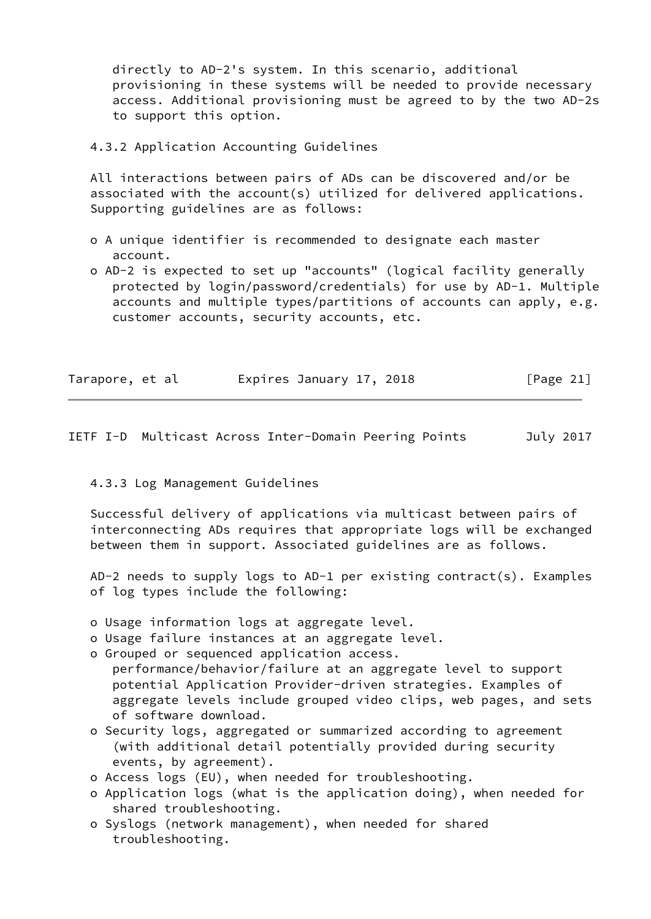directly to AD-2's system. In this scenario, additional provisioning in these systems will be needed to provide necessary access. Additional provisioning must be agreed to by the two AD-2s to support this option.

4.3.2 Application Accounting Guidelines

 All interactions between pairs of ADs can be discovered and/or be associated with the account(s) utilized for delivered applications. Supporting guidelines are as follows:

- o A unique identifier is recommended to designate each master account.
- o AD-2 is expected to set up "accounts" (logical facility generally protected by login/password/credentials) for use by AD-1. Multiple accounts and multiple types/partitions of accounts can apply, e.g. customer accounts, security accounts, etc.

| Tarapore, et al | Expires January 17, 2018 | [Page 21] |
|-----------------|--------------------------|-----------|
|-----------------|--------------------------|-----------|

# <span id="page-22-0"></span>IETF I-D Multicast Across Inter-Domain Peering Points July 2017

### 4.3.3 Log Management Guidelines

 Successful delivery of applications via multicast between pairs of interconnecting ADs requires that appropriate logs will be exchanged between them in support. Associated guidelines are as follows.

 AD-2 needs to supply logs to AD-1 per existing contract(s). Examples of log types include the following:

- o Usage information logs at aggregate level.
- o Usage failure instances at an aggregate level.
- o Grouped or sequenced application access.
- performance/behavior/failure at an aggregate level to support potential Application Provider-driven strategies. Examples of aggregate levels include grouped video clips, web pages, and sets of software download.
- o Security logs, aggregated or summarized according to agreement (with additional detail potentially provided during security events, by agreement).
- o Access logs (EU), when needed for troubleshooting.
- o Application logs (what is the application doing), when needed for shared troubleshooting.
- o Syslogs (network management), when needed for shared troubleshooting.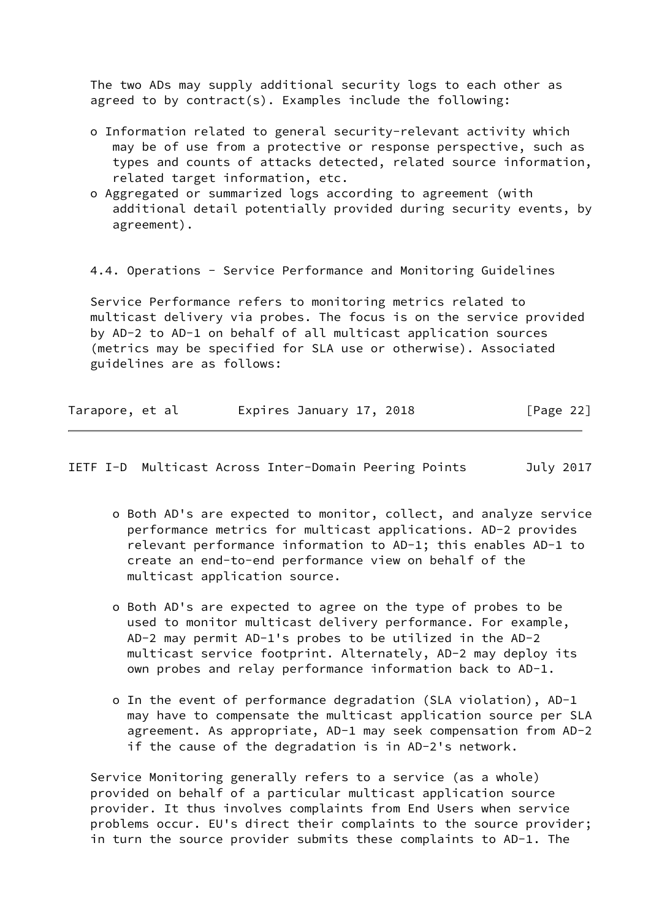The two ADs may supply additional security logs to each other as agreed to by contract(s). Examples include the following:

- o Information related to general security-relevant activity which may be of use from a protective or response perspective, such as types and counts of attacks detected, related source information, related target information, etc.
- o Aggregated or summarized logs according to agreement (with additional detail potentially provided during security events, by agreement).

4.4. Operations - Service Performance and Monitoring Guidelines

 Service Performance refers to monitoring metrics related to multicast delivery via probes. The focus is on the service provided by AD-2 to AD-1 on behalf of all multicast application sources (metrics may be specified for SLA use or otherwise). Associated guidelines are as follows:

| Tarapore, et al | Expires January 17, 2018 | [Page 22] |
|-----------------|--------------------------|-----------|
|-----------------|--------------------------|-----------|

IETF I-D Multicast Across Inter-Domain Peering Points July 2017

- o Both AD's are expected to monitor, collect, and analyze service performance metrics for multicast applications. AD-2 provides relevant performance information to AD-1; this enables AD-1 to create an end-to-end performance view on behalf of the multicast application source.
- o Both AD's are expected to agree on the type of probes to be used to monitor multicast delivery performance. For example, AD-2 may permit AD-1's probes to be utilized in the AD-2 multicast service footprint. Alternately, AD-2 may deploy its own probes and relay performance information back to AD-1.
- o In the event of performance degradation (SLA violation), AD-1 may have to compensate the multicast application source per SLA agreement. As appropriate, AD-1 may seek compensation from AD-2 if the cause of the degradation is in AD-2's network.

 Service Monitoring generally refers to a service (as a whole) provided on behalf of a particular multicast application source provider. It thus involves complaints from End Users when service problems occur. EU's direct their complaints to the source provider; in turn the source provider submits these complaints to AD-1. The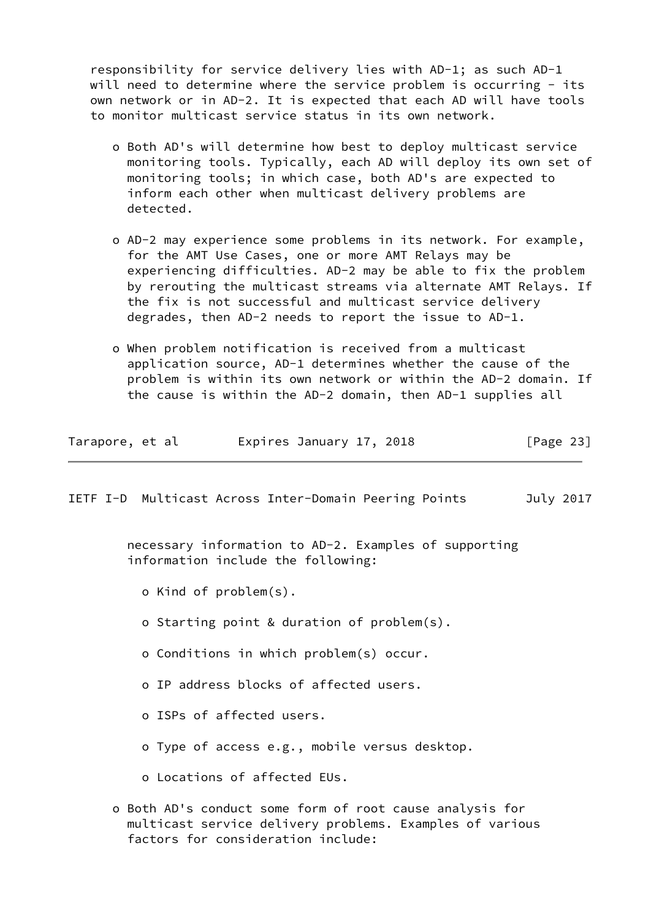responsibility for service delivery lies with AD-1; as such AD-1 will need to determine where the service problem is occurring - its own network or in AD-2. It is expected that each AD will have tools to monitor multicast service status in its own network.

- o Both AD's will determine how best to deploy multicast service monitoring tools. Typically, each AD will deploy its own set of monitoring tools; in which case, both AD's are expected to inform each other when multicast delivery problems are detected.
- o AD-2 may experience some problems in its network. For example, for the AMT Use Cases, one or more AMT Relays may be experiencing difficulties. AD-2 may be able to fix the problem by rerouting the multicast streams via alternate AMT Relays. If the fix is not successful and multicast service delivery degrades, then AD-2 needs to report the issue to AD-1.
- o When problem notification is received from a multicast application source, AD-1 determines whether the cause of the problem is within its own network or within the AD-2 domain. If the cause is within the AD-2 domain, then AD-1 supplies all

| Tarapore, et al |  |  |  | Expires January 17, 2018 |  |  | [Page 23] |  |
|-----------------|--|--|--|--------------------------|--|--|-----------|--|
|-----------------|--|--|--|--------------------------|--|--|-----------|--|

IETF I-D Multicast Across Inter-Domain Peering Points July 2017

 necessary information to AD-2. Examples of supporting information include the following:

- o Kind of problem(s).
- o Starting point & duration of problem(s).
- o Conditions in which problem(s) occur.
- o IP address blocks of affected users.
- o ISPs of affected users.
- o Type of access e.g., mobile versus desktop.
- o Locations of affected EUs.
- o Both AD's conduct some form of root cause analysis for multicast service delivery problems. Examples of various factors for consideration include: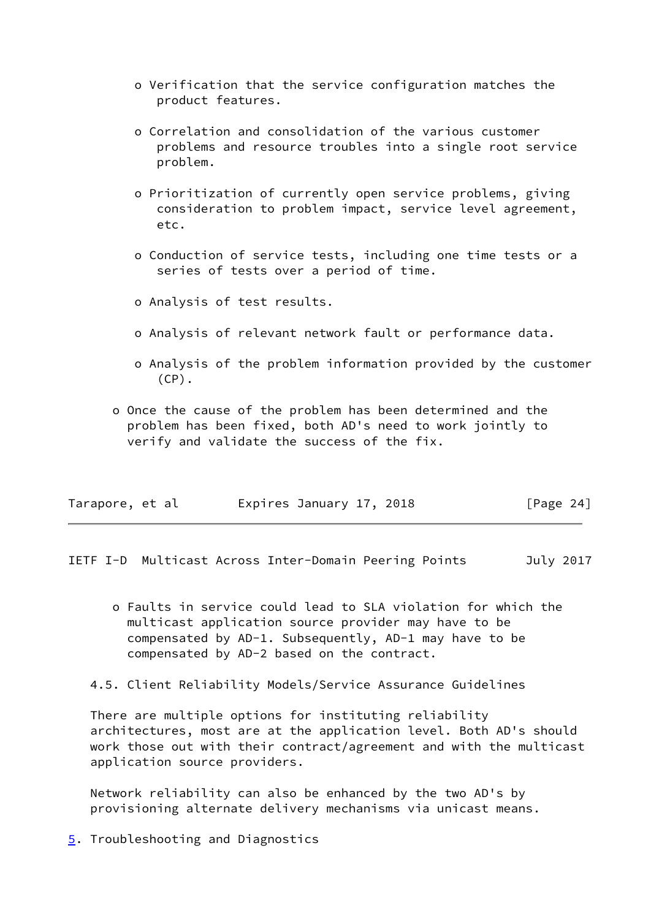- o Verification that the service configuration matches the product features.
- o Correlation and consolidation of the various customer problems and resource troubles into a single root service problem.
- o Prioritization of currently open service problems, giving consideration to problem impact, service level agreement, etc.
- o Conduction of service tests, including one time tests or a series of tests over a period of time.
- o Analysis of test results.
- o Analysis of relevant network fault or performance data.
- o Analysis of the problem information provided by the customer  $(CP)$ .
- o Once the cause of the problem has been determined and the problem has been fixed, both AD's need to work jointly to verify and validate the success of the fix.

| Tarapore, et al | Expires January 17, 2018 | [Page $24$ ] |
|-----------------|--------------------------|--------------|
|-----------------|--------------------------|--------------|

<span id="page-25-0"></span>IETF I-D Multicast Across Inter-Domain Peering Points July 2017

- o Faults in service could lead to SLA violation for which the multicast application source provider may have to be compensated by AD-1. Subsequently, AD-1 may have to be compensated by AD-2 based on the contract.
- 4.5. Client Reliability Models/Service Assurance Guidelines

 There are multiple options for instituting reliability architectures, most are at the application level. Both AD's should work those out with their contract/agreement and with the multicast application source providers.

 Network reliability can also be enhanced by the two AD's by provisioning alternate delivery mechanisms via unicast means.

<span id="page-25-1"></span>[5](#page-25-1). Troubleshooting and Diagnostics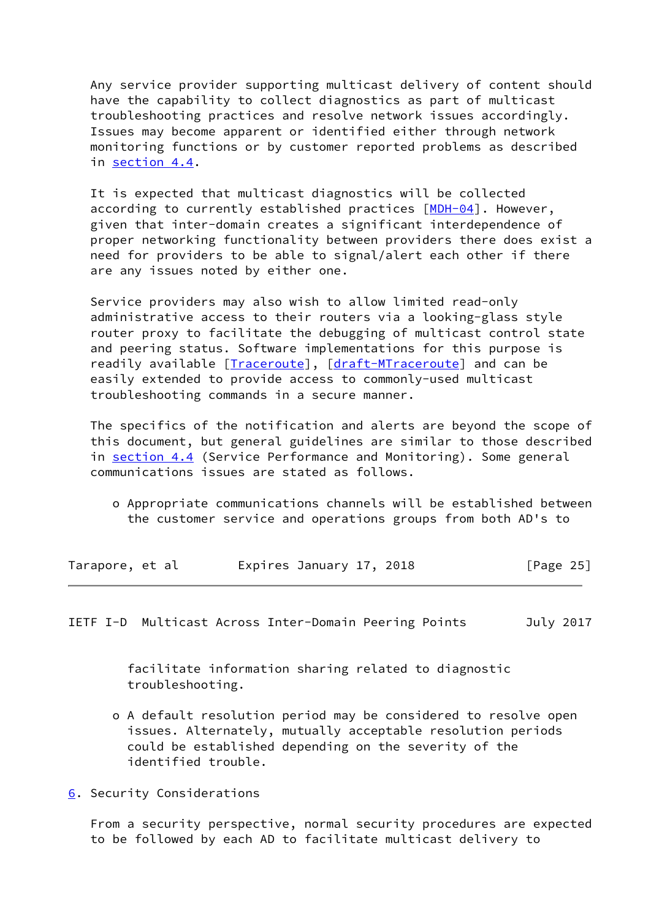Any service provider supporting multicast delivery of content should have the capability to collect diagnostics as part of multicast troubleshooting practices and resolve network issues accordingly. Issues may become apparent or identified either through network monitoring functions or by customer reported problems as described in section 4.4.

 It is expected that multicast diagnostics will be collected according to currently established practices [\[MDH-04](#page-29-4)]. However, given that inter-domain creates a significant interdependence of proper networking functionality between providers there does exist a need for providers to be able to signal/alert each other if there are any issues noted by either one.

 Service providers may also wish to allow limited read-only administrative access to their routers via a looking-glass style router proxy to facilitate the debugging of multicast control state and peering status. Software implementations for this purpose is readily available [[Traceroute\]](#page-29-5), [\[draft-MTraceroute](https://datatracker.ietf.org/doc/pdf/draft-MTraceroute)] and can be easily extended to provide access to commonly-used multicast troubleshooting commands in a secure manner.

 The specifics of the notification and alerts are beyond the scope of this document, but general guidelines are similar to those described in section 4.4 (Service Performance and Monitoring). Some general communications issues are stated as follows.

 o Appropriate communications channels will be established between the customer service and operations groups from both AD's to

| Tarapore, et al |  | Expires January 17, 2018 |  | [Page $25$ ] |  |
|-----------------|--|--------------------------|--|--------------|--|
|                 |  |                          |  |              |  |

<span id="page-26-1"></span>IETF I-D Multicast Across Inter-Domain Peering Points July 2017

 facilitate information sharing related to diagnostic troubleshooting.

- o A default resolution period may be considered to resolve open issues. Alternately, mutually acceptable resolution periods could be established depending on the severity of the identified trouble.
- <span id="page-26-0"></span>[6](#page-26-0). Security Considerations

 From a security perspective, normal security procedures are expected to be followed by each AD to facilitate multicast delivery to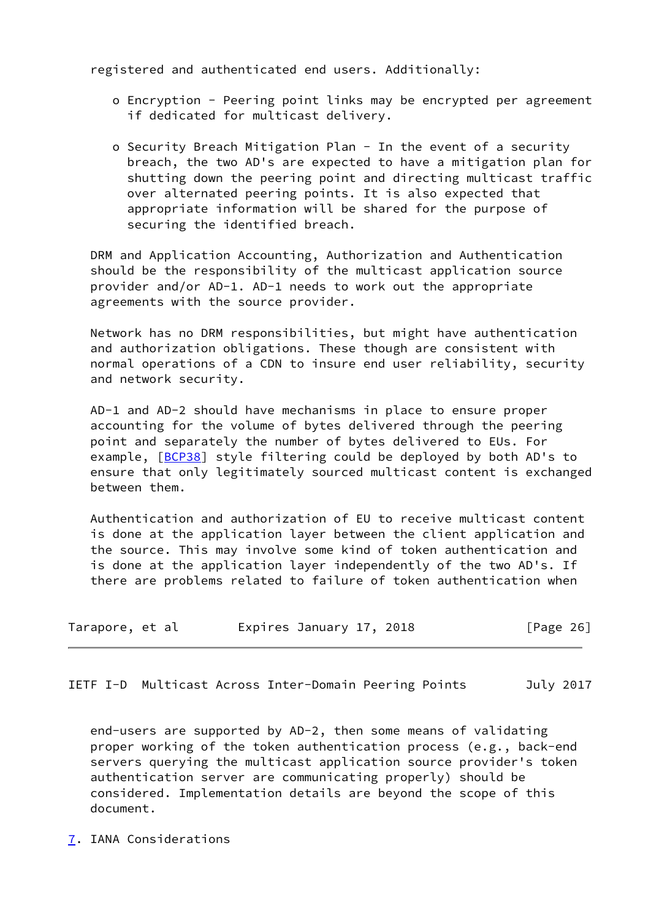registered and authenticated end users. Additionally:

- o Encryption Peering point links may be encrypted per agreement if dedicated for multicast delivery.
- o Security Breach Mitigation Plan In the event of a security breach, the two AD's are expected to have a mitigation plan for shutting down the peering point and directing multicast traffic over alternated peering points. It is also expected that appropriate information will be shared for the purpose of securing the identified breach.

 DRM and Application Accounting, Authorization and Authentication should be the responsibility of the multicast application source provider and/or AD-1. AD-1 needs to work out the appropriate agreements with the source provider.

 Network has no DRM responsibilities, but might have authentication and authorization obligations. These though are consistent with normal operations of a CDN to insure end user reliability, security and network security.

 AD-1 and AD-2 should have mechanisms in place to ensure proper accounting for the volume of bytes delivered through the peering point and separately the number of bytes delivered to EUs. For example, [\[BCP38\]](#page-29-1) style filtering could be deployed by both AD's to ensure that only legitimately sourced multicast content is exchanged between them.

 Authentication and authorization of EU to receive multicast content is done at the application layer between the client application and the source. This may involve some kind of token authentication and is done at the application layer independently of the two AD's. If there are problems related to failure of token authentication when

| Tarapore, et al |  | Expires January 17, 2018 |  | [Page 26] |  |
|-----------------|--|--------------------------|--|-----------|--|
|                 |  |                          |  |           |  |

<span id="page-27-1"></span>IETF I-D Multicast Across Inter-Domain Peering Points July 2017

 end-users are supported by AD-2, then some means of validating proper working of the token authentication process (e.g., back-end servers querying the multicast application source provider's token authentication server are communicating properly) should be considered. Implementation details are beyond the scope of this document.

<span id="page-27-0"></span>[7](#page-27-0). IANA Considerations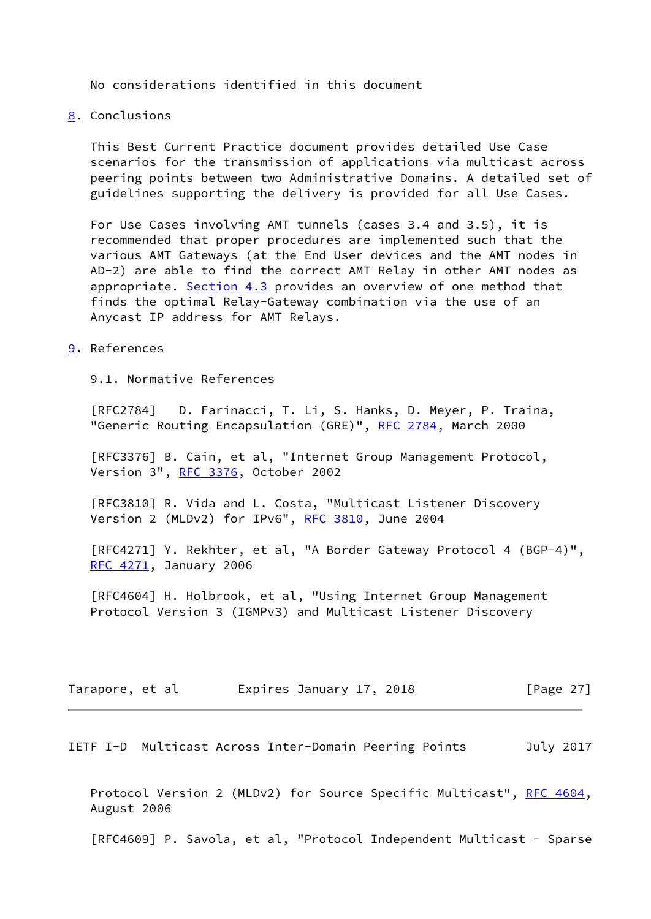No considerations identified in this document

# <span id="page-28-0"></span>[8](#page-28-0). Conclusions

 This Best Current Practice document provides detailed Use Case scenarios for the transmission of applications via multicast across peering points between two Administrative Domains. A detailed set of guidelines supporting the delivery is provided for all Use Cases.

 For Use Cases involving AMT tunnels (cases 3.4 and 3.5), it is recommended that proper procedures are implemented such that the various AMT Gateways (at the End User devices and the AMT nodes in AD-2) are able to find the correct AMT Relay in other AMT nodes as appropriate. Section 4.3 provides an overview of one method that finds the optimal Relay-Gateway combination via the use of an Anycast IP address for AMT Relays.

## <span id="page-28-1"></span>[9](#page-28-1). References

9.1. Normative References

 [RFC2784] D. Farinacci, T. Li, S. Hanks, D. Meyer, P. Traina, "Generic Routing Encapsulation (GRE)", [RFC 2784,](https://datatracker.ietf.org/doc/pdf/rfc2784) March 2000

 [RFC3376] B. Cain, et al, "Internet Group Management Protocol, Version 3", [RFC 3376,](https://datatracker.ietf.org/doc/pdf/rfc3376) October 2002

 [RFC3810] R. Vida and L. Costa, "Multicast Listener Discovery Version 2 (MLDv2) for IPv6", [RFC 3810](https://datatracker.ietf.org/doc/pdf/rfc3810), June 2004

 [RFC4271] Y. Rekhter, et al, "A Border Gateway Protocol 4 (BGP-4)", [RFC 4271](https://datatracker.ietf.org/doc/pdf/rfc4271), January 2006

 [RFC4604] H. Holbrook, et al, "Using Internet Group Management Protocol Version 3 (IGMPv3) and Multicast Listener Discovery

| Tarapore, et al |  |  | Expires January 17, 2018 |  | [Page $27$ ] |  |
|-----------------|--|--|--------------------------|--|--------------|--|
|-----------------|--|--|--------------------------|--|--------------|--|

<span id="page-28-2"></span>IETF I-D Multicast Across Inter-Domain Peering Points July 2017

 Protocol Version 2 (MLDv2) for Source Specific Multicast", [RFC 4604,](https://datatracker.ietf.org/doc/pdf/rfc4604) August 2006

[RFC4609] P. Savola, et al, "Protocol Independent Multicast - Sparse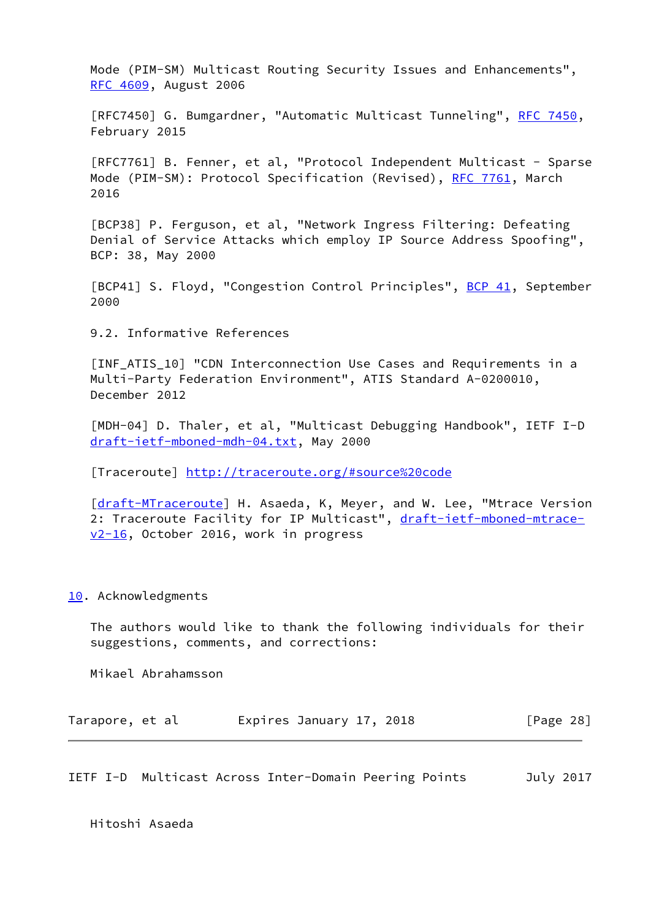Mode (PIM-SM) Multicast Routing Security Issues and Enhancements", [RFC 4609](https://datatracker.ietf.org/doc/pdf/rfc4609), August 2006

[RFC7450] G. Bumgardner, "Automatic Multicast Tunneling", [RFC 7450](https://datatracker.ietf.org/doc/pdf/rfc7450), February 2015

 [RFC7761] B. Fenner, et al, "Protocol Independent Multicast - Sparse Mode (PIM-SM): Protocol Specification (Revised), [RFC 7761](https://datatracker.ietf.org/doc/pdf/rfc7761), March 2016

<span id="page-29-1"></span> [BCP38] P. Ferguson, et al, "Network Ingress Filtering: Defeating Denial of Service Attacks which employ IP Source Address Spoofing", BCP: 38, May 2000

<span id="page-29-2"></span>[BCP41] S. Floyd, "Congestion Control Principles", [BCP 41](https://datatracker.ietf.org/doc/pdf/bcp41), September 2000

9.2. Informative References

<span id="page-29-3"></span>[INF\_ATIS\_10] "CDN\_Interconnection Use Cases and Requirements in a Multi-Party Federation Environment", ATIS Standard A-0200010, December 2012

<span id="page-29-4"></span> [MDH-04] D. Thaler, et al, "Multicast Debugging Handbook", IETF I-D [draft-ietf-mboned-mdh-04.txt](https://datatracker.ietf.org/doc/pdf/draft-ietf-mboned-mdh-04.txt), May 2000

<span id="page-29-5"></span>[Traceroute]<http://traceroute.org/#source%20code>

[\[draft-MTraceroute](https://datatracker.ietf.org/doc/pdf/draft-MTraceroute)] H. Asaeda, K, Meyer, and W. Lee, "Mtrace Version 2: Traceroute Facility for IP Multicast", [draft-ietf-mboned-mtrace](https://datatracker.ietf.org/doc/pdf/draft-ietf-mboned-mtrace-v2-16) [v2-16](https://datatracker.ietf.org/doc/pdf/draft-ietf-mboned-mtrace-v2-16), October 2016, work in progress

### <span id="page-29-0"></span>[10.](#page-29-0) Acknowledgments

 The authors would like to thank the following individuals for their suggestions, comments, and corrections:

Mikael Abrahamsson

| Tarapore, et al |  | Expires January 17, 2018 |  | [Page 28] |  |
|-----------------|--|--------------------------|--|-----------|--|
|-----------------|--|--------------------------|--|-----------|--|

IETF I-D Multicast Across Inter-Domain Peering Points July 2017

Hitoshi Asaeda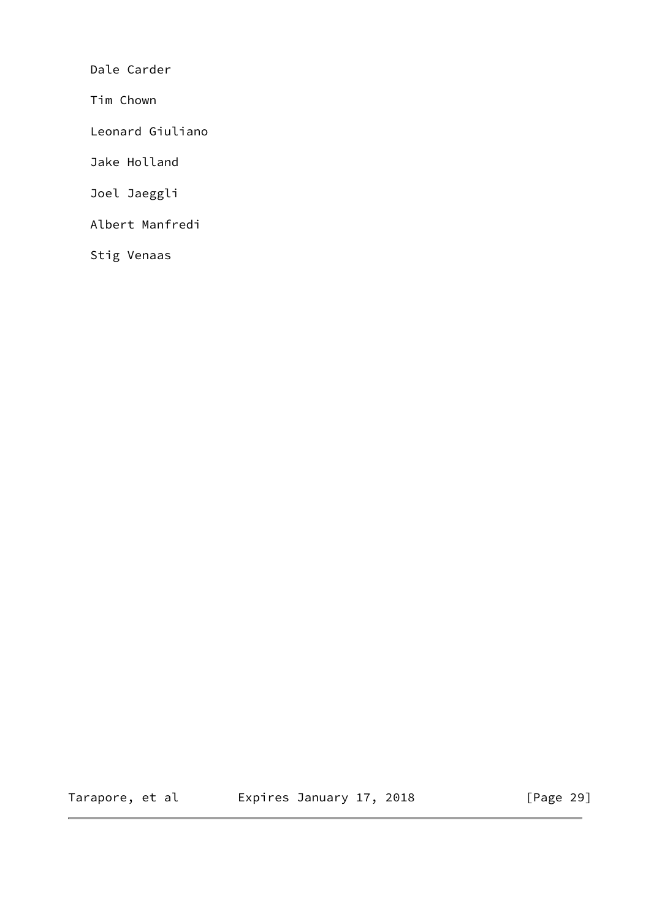Dale Carder

Tim Chown

Leonard Giuliano

Jake Holland

Joel Jaeggli

Albert Manfredi

Stig Venaas

Tarapore, et al  $E$ xpires January 17, 2018 [Page 29]